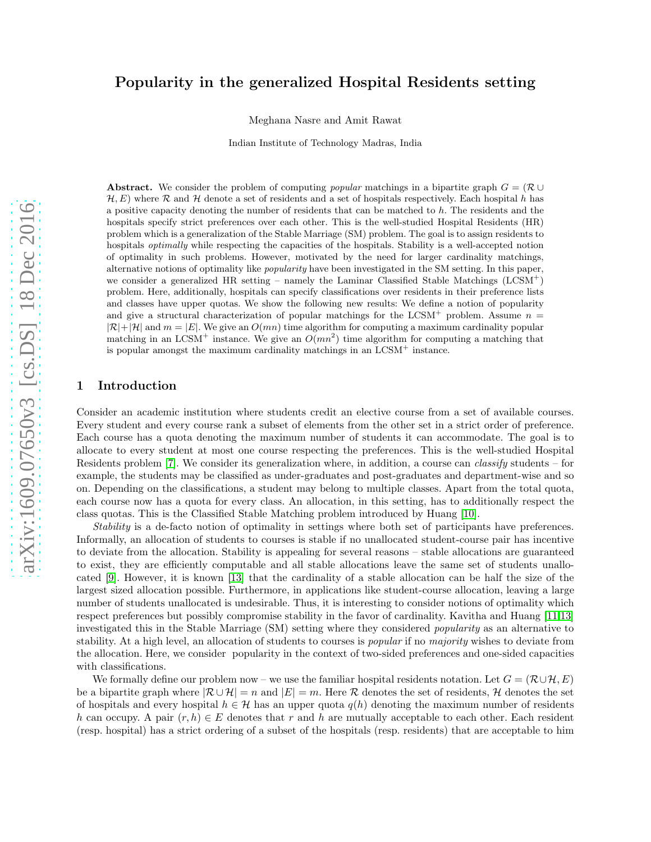## Popularity in the generalized Hospital Residents setting

Meghana Nasre and Amit Rawat

Indian Institute of Technology Madras, India

Abstract. We consider the problem of computing *popular* matchings in a bipartite graph  $G = (\mathcal{R} \cup$  $H, E$ ) where R and H denote a set of residents and a set of hospitals respectively. Each hospital h has a positive capacity denoting the number of residents that can be matched to h. The residents and the hospitals specify strict preferences over each other. This is the well-studied Hospital Residents (HR) problem which is a generalization of the Stable Marriage (SM) problem. The goal is to assign residents to hospitals *optimally* while respecting the capacities of the hospitals. Stability is a well-accepted notion of optimality in such problems. However, motivated by the need for larger cardinality matchings, alternative notions of optimality like popularity have been investigated in the SM setting. In this paper, we consider a generalized HR setting – namely the Laminar Classified Stable Matchings  $(LCSM<sup>+</sup>)$ problem. Here, additionally, hospitals can specify classifications over residents in their preference lists and classes have upper quotas. We show the following new results: We define a notion of popularity and give a structural characterization of popular matchings for the LCSM<sup>+</sup> problem. Assume  $n =$  $|\mathcal{R}|+|\mathcal{H}|$  and  $m=|E|$ . We give an  $O(mn)$  time algorithm for computing a maximum cardinality popular matching in an LCSM<sup>+</sup> instance. We give an  $O(mn^2)$  time algorithm for computing a matching that is popular amongst the maximum cardinality matchings in an LCSM<sup>+</sup> instance.

### 1 Introduction

Consider an academic institution where students credit an elective course from a set of available courses. Every student and every course rank a subset of elements from the other set in a strict order of preference. Each course has a quota denoting the maximum number of students it can accommodate. The goal is to allocate to every student at most one course respecting the preferences. This is the well-studied Hospital Residents problem [\[7\]](#page-16-0). We consider its generalization where, in addition, a course can classify students – for example, the students may be classified as under-graduates and post-graduates and department-wise and so on. Depending on the classifications, a student may belong to multiple classes. Apart from the total quota, each course now has a quota for every class. An allocation, in this setting, has to additionally respect the class quotas. This is the Classified Stable Matching problem introduced by Huang [\[10\]](#page-16-1).

Stability is a de-facto notion of optimality in settings where both set of participants have preferences. Informally, an allocation of students to courses is stable if no unallocated student-course pair has incentive to deviate from the allocation. Stability is appealing for several reasons – stable allocations are guaranteed to exist, they are efficiently computable and all stable allocations leave the same set of students unallocated [\[9\]](#page-16-2). However, it is known [\[13\]](#page-17-0) that the cardinality of a stable allocation can be half the size of the largest sized allocation possible. Furthermore, in applications like student-course allocation, leaving a large number of students unallocated is undesirable. Thus, it is interesting to consider notions of optimality which respect preferences but possibly compromise stability in the favor of cardinality. Kavitha and Huang [\[11,](#page-16-3)[13\]](#page-17-0) investigated this in the Stable Marriage (SM) setting where they considered popularity as an alternative to stability. At a high level, an allocation of students to courses is *popular* if no *majority* wishes to deviate from the allocation. Here, we consider popularity in the context of two-sided preferences and one-sided capacities with classifications.

We formally define our problem now – we use the familiar hospital residents notation. Let  $G = (\mathcal{R} \cup \mathcal{H}, E)$ be a bipartite graph where  $\mathcal{R} \cup \mathcal{H} = n$  and  $|E| = m$ . Here R denotes the set of residents, H denotes the set of hospitals and every hospital  $h \in \mathcal{H}$  has an upper quota  $q(h)$  denoting the maximum number of residents h can occupy. A pair  $(r, h) \in E$  denotes that r and h are mutually acceptable to each other. Each resident (resp. hospital) has a strict ordering of a subset of the hospitals (resp. residents) that are acceptable to him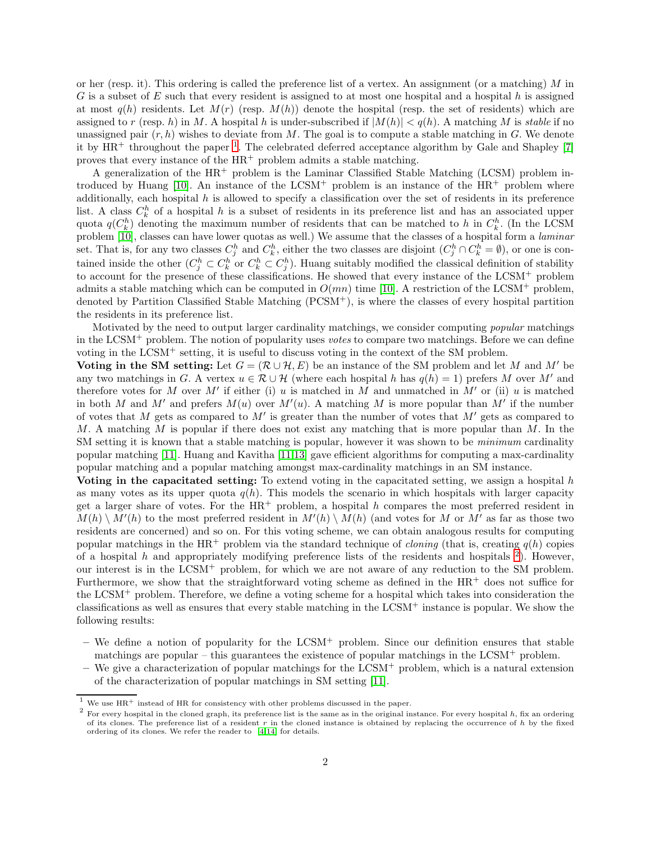or her (resp. it). This ordering is called the preference list of a vertex. An assignment (or a matching) M in  $G$  is a subset of  $E$  such that every resident is assigned to at most one hospital and a hospital  $h$  is assigned at most  $q(h)$  residents. Let  $M(r)$  (resp.  $M(h)$ ) denote the hospital (resp. the set of residents) which are assigned to r (resp. h) in M. A hospital h is under-subscribed if  $|M(h)| < q(h)$ . A matching M is stable if no unassigned pair  $(r, h)$  wishes to deviate from M. The goal is to compute a stable matching in G. We denote it by  $HR^+$  throughout the paper<sup>[1](#page-1-0)</sup>. The celebrated deferred acceptance algorithm by Gale and Shapley [\[7\]](#page-16-0) proves that every instance of the  $HR^+$  problem admits a stable matching.

A generalization of the  $HR^+$  problem is the Laminar Classified Stable Matching (LCSM) problem introduced by Huang  $[10]$ . An instance of the LCSM<sup>+</sup> problem is an instance of the  $HR^+$  problem where additionally, each hospital  $h$  is allowed to specify a classification over the set of residents in its preference list. A class  $C_k^h$  of a hospital h is a subset of residents in its preference list and has an associated upper quota  $q(C_k^h)$  denoting the maximum number of residents that can be matched to h in  $C_k^h$ . (In the LCSM problem [\[10\]](#page-16-1), classes can have lower quotas as well.) We assume that the classes of a hospital form a laminar set. That is, for any two classes  $C_j^h$  and  $C_k^h$ , either the two classes are disjoint  $(C_j^h \cap C_k^h = \emptyset)$ , or one is contained inside the other  $(C_j^h\subset C_k^h$  or  $C_k^h\subset C_j^h$ ). Huang suitably modified the classical definition of stability to account for the presence of these classifications. He showed that every instance of the LCSM<sup>+</sup> problem admits a stable matching which can be computed in  $O(mn)$  time [\[10\]](#page-16-1). A restriction of the LCSM<sup>+</sup> problem, denoted by Partition Classified Stable Matching (PCSM+), is where the classes of every hospital partition the residents in its preference list.

Motivated by the need to output larger cardinality matchings, we consider computing *popular* matchings in the LCSM<sup>+</sup> problem. The notion of popularity uses votes to compare two matchings. Before we can define voting in the LCSM<sup>+</sup> setting, it is useful to discuss voting in the context of the SM problem.

Voting in the SM setting: Let  $G = (\mathcal{R} \cup \mathcal{H}, E)$  be an instance of the SM problem and let M and M' be any two matchings in G. A vertex  $u \in \mathcal{R} \cup \mathcal{H}$  (where each hospital h has  $q(h) = 1$ ) prefers M over M' and therefore votes for M over M' if either (i) u is matched in M and unmatched in M' or (ii) u is matched in both M and M' and prefers  $M(u)$  over  $M'(u)$ . A matching M is more popular than M' if the number of votes that M gets as compared to  $M'$  is greater than the number of votes that  $M'$  gets as compared to M. A matching M is popular if there does not exist any matching that is more popular than M. In the SM setting it is known that a stable matching is popular, however it was shown to be *minimum* cardinality popular matching [\[11\]](#page-16-3). Huang and Kavitha [\[11,](#page-16-3)[13\]](#page-17-0) gave efficient algorithms for computing a max-cardinality popular matching and a popular matching amongst max-cardinality matchings in an SM instance.

Voting in the capacitated setting: To extend voting in the capacitated setting, we assign a hospital  $h$ as many votes as its upper quota  $q(h)$ . This models the scenario in which hospitals with larger capacity get a larger share of votes. For the  $HR^+$  problem, a hospital h compares the most preferred resident in  $M(h) \setminus M'(h)$  to the most preferred resident in  $M'(h) \setminus M(h)$  (and votes for M or M' as far as those two residents are concerned) and so on. For this voting scheme, we can obtain analogous results for computing popular matchings in the HR<sup>+</sup> problem via the standard technique of *cloning* (that is, creating  $q(h)$  copies of a hospital h and appropriately modifying preference lists of the residents and hospitals  $2$ ). However, our interest is in the LCSM<sup>+</sup> problem, for which we are not aware of any reduction to the SM problem. Furthermore, we show that the straightforward voting scheme as defined in the HR<sup>+</sup> does not suffice for the LCSM<sup>+</sup> problem. Therefore, we define a voting scheme for a hospital which takes into consideration the classifications as well as ensures that every stable matching in the LCSM<sup>+</sup> instance is popular. We show the following results:

- $-$  We define a notion of popularity for the LCSM<sup>+</sup> problem. Since our definition ensures that stable matchings are popular – this guarantees the existence of popular matchings in the  $LCSM<sup>+</sup>$  problem.
- $-$  We give a characterization of popular matchings for the LCSM<sup>+</sup> problem, which is a natural extension of the characterization of popular matchings in SM setting [\[11\]](#page-16-3).

 $^1\,$  We use  $\mathrm{HR}^+$  instead of HR for consistency with other problems discussed in the paper.

<span id="page-1-1"></span><span id="page-1-0"></span> $^2$  For every hospital in the cloned graph, its preference list is the same as in the original instance. For every hospital h, fix an ordering of its clones. The preference list of a resident  $r$  in the cloned instance is obtained by replacing the occurrence of  $h$  by the fixed ordering of its clones. We refer the reader to [\[4](#page-16-4)[,14\]](#page-17-1) for details.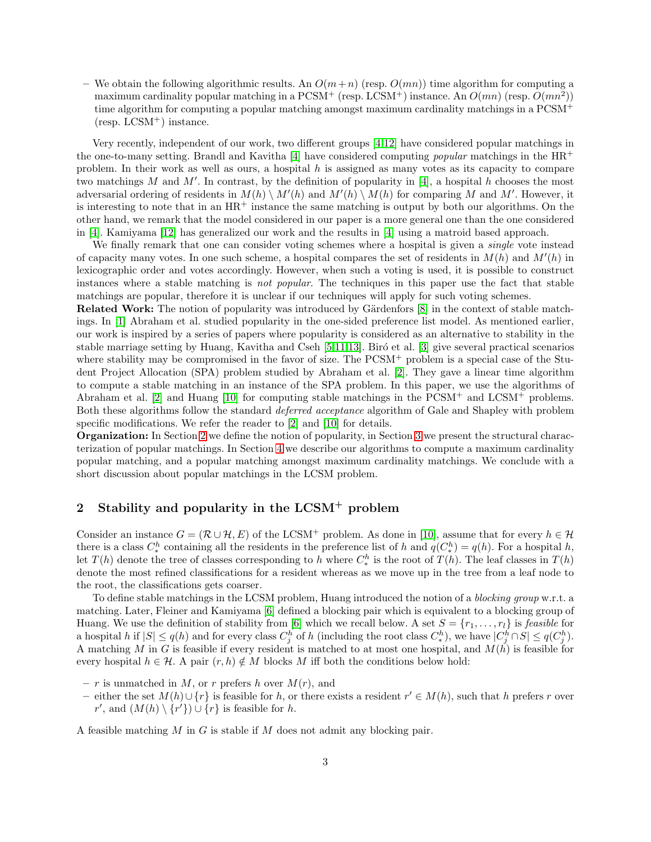– We obtain the following algorithmic results. An  $O(m+n)$  (resp.  $O(mn)$ ) time algorithm for computing a maximum cardinality popular matching in a PCSM<sup>+</sup> (resp. LCSM<sup>+</sup>) instance. An  $O(mn)$  (resp.  $O(mn^2)$ ) time algorithm for computing a popular matching amongst maximum cardinality matchings in a PCSM<sup>+</sup>  $(resp. LCSM<sup>+</sup>)$  instance.

Very recently, independent of our work, two different groups [\[4](#page-16-4)[,12\]](#page-17-2) have considered popular matchings in the one-to-many setting. Brandl and Kavitha [\[4\]](#page-16-4) have considered computing *popular* matchings in the  $HR^+$ problem. In their work as well as ours, a hospital h is assigned as many votes as its capacity to compare two matchings M and M'. In contrast, by the definition of popularity in [\[4\]](#page-16-4), a hospital h chooses the most adversarial ordering of residents in  $M(h) \setminus M'(h)$  and  $M'(h) \setminus M(h)$  for comparing M and M'. However, it is interesting to note that in an  $HR^+$  instance the same matching is output by both our algorithms. On the other hand, we remark that the model considered in our paper is a more general one than the one considered in [\[4\]](#page-16-4). Kamiyama [\[12\]](#page-17-2) has generalized our work and the results in [\[4\]](#page-16-4) using a matroid based approach.

We finally remark that one can consider voting schemes where a hospital is given a *single* vote instead of capacity many votes. In one such scheme, a hospital compares the set of residents in  $M(h)$  and  $M'(h)$  in lexicographic order and votes accordingly. However, when such a voting is used, it is possible to construct instances where a stable matching is not popular. The techniques in this paper use the fact that stable matchings are popular, therefore it is unclear if our techniques will apply for such voting schemes.

Related Work: The notion of popularity was introduced by Gärdenfors [\[8\]](#page-16-5) in the context of stable matchings. In [\[1\]](#page-16-6) Abraham et al. studied popularity in the one-sided preference list model. As mentioned earlier, our work is inspired by a series of papers where popularity is considered as an alternative to stability in the stable marriage setting by Huang, Kavitha and Cseh  $[5,11,13]$  $[5,11,13]$  $[5,11,13]$ . Biró et al.  $[3]$  give several practical scenarios where stability may be compromised in the favor of size. The PCSM<sup>+</sup> problem is a special case of the Student Project Allocation (SPA) problem studied by Abraham et al. [\[2\]](#page-16-9). They gave a linear time algorithm to compute a stable matching in an instance of the SPA problem. In this paper, we use the algorithms of Abraham et al. [\[2\]](#page-16-9) and Huang [\[10\]](#page-16-1) for computing stable matchings in the PCSM<sup>+</sup> and LCSM<sup>+</sup> problems. Both these algorithms follow the standard deferred acceptance algorithm of Gale and Shapley with problem specific modifications. We refer the reader to [\[2\]](#page-16-9) and [\[10\]](#page-16-1) for details.

Organization: In Section [2](#page-2-0) we define the notion of popularity, in Section [3](#page-6-0) we present the structural characterization of popular matchings. In Section [4](#page-8-0) we describe our algorithms to compute a maximum cardinality popular matching, and a popular matching amongst maximum cardinality matchings. We conclude with a short discussion about popular matchings in the LCSM problem.

# <span id="page-2-0"></span>2 Stability and popularity in the LCSM<sup>+</sup> problem

Consider an instance  $G = (\mathcal{R} \cup \mathcal{H}, E)$  of the LCSM<sup>+</sup> problem. As done in [\[10\]](#page-16-1), assume that for every  $h \in \mathcal{H}$ there is a class  $C^h_*$  containing all the residents in the preference list of h and  $q(C^h_*) = q(h)$ . For a hospital h, let  $T(h)$  denote the tree of classes corresponding to h where  $C^h_*$  is the root of  $T(h)$ . The leaf classes in  $T(h)$ denote the most refined classifications for a resident whereas as we move up in the tree from a leaf node to the root, the classifications gets coarser.

To define stable matchings in the LCSM problem, Huang introduced the notion of a blocking group w.r.t. a matching. Later, Fleiner and Kamiyama [\[6\]](#page-16-10) defined a blocking pair which is equivalent to a blocking group of Huang. We use the definition of stability from [\[6\]](#page-16-10) which we recall below. A set  $S = \{r_1, \ldots, r_l\}$  is *feasible* for a hospital h if  $|S| \le q(h)$  and for every class  $C_j^h$  of h (including the root class  $C_*^h$ ), we have  $|C_j^h \cap S| \le q(C_j^h)$ . A matching M in G is feasible if every resident is matched to at most one hospital, and  $M(h)$  is feasible for every hospital  $h \in \mathcal{H}$ . A pair  $(r, h) \notin M$  blocks M iff both the conditions below hold:

- r is unmatched in M, or r prefers h over  $M(r)$ , and
- − either the set  $M(h) \cup \{r\}$  is feasible for h, or there exists a resident  $r' \in M(h)$ , such that h prefers r over r', and  $(M(h) \setminus \{r'\}) \cup \{r\}$  is feasible for h.

A feasible matching  $M$  in  $G$  is stable if  $M$  does not admit any blocking pair.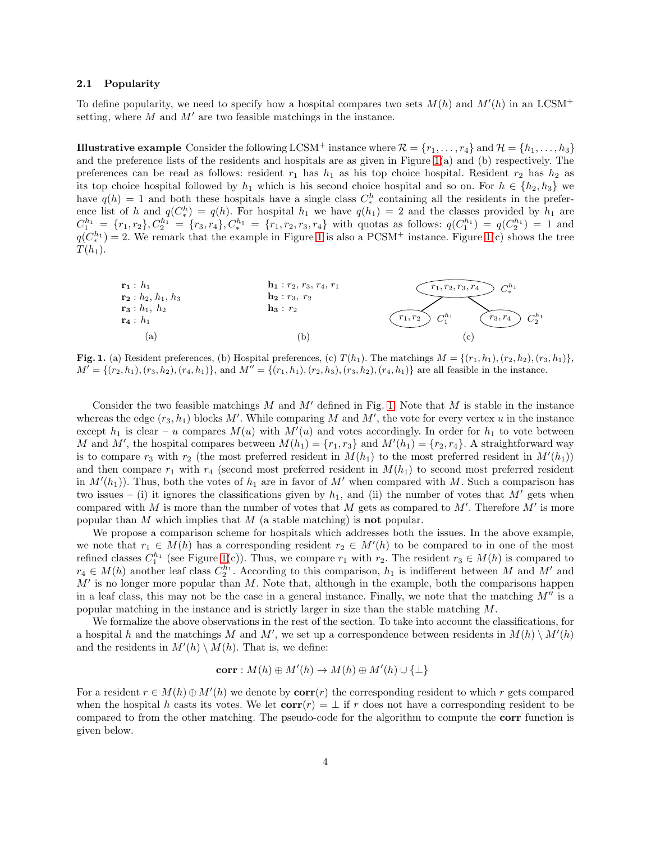#### 2.1 Popularity

To define popularity, we need to specify how a hospital compares two sets  $M(h)$  and  $M'(h)$  in an LCSM<sup>+</sup> setting, where  $M$  and  $M'$  are two feasible matchings in the instance.

**Illustrative example** Consider the following LCSM<sup>+</sup> instance where  $\mathcal{R} = \{r_1, \ldots, r_4\}$  and  $\mathcal{H} = \{h_1, \ldots, h_3\}$ and the preference lists of the residents and hospitals are as given in Figure [1\(](#page-3-0)a) and (b) respectively. The preferences can be read as follows: resident  $r_1$  has  $h_1$  as his top choice hospital. Resident  $r_2$  has  $h_2$  as its top choice hospital followed by  $h_1$  which is his second choice hospital and so on. For  $h \in \{h_2, h_3\}$  we have  $q(h) = 1$  and both these hospitals have a single class  $C_*^h$  containing all the residents in the preference list of h and  $q(C_*^h) = q(h)$ . For hospital  $h_1$  we have  $q(h_1) = 2$  and the classes provided by  $h_1$  are  $C_1^{h_1} = \{r_1, r_2\}, C_2^{h_1} = \{r_3, r_4\}, C_*^{h_1} = \{r_1, r_2, r_3, r_4\}$  with quotas as follows:  $q(C_1^{h_1}) = q(C_2^{h_1}) = 1$  and  $q(C_*^{h_1})=2$ . We remark that the example in Figure [1](#page-3-0) is also a PCSM<sup>+</sup> instance. Figure [1\(](#page-3-0)c) shows the tree  $T(h_1)$ .



<span id="page-3-0"></span>**Fig. 1.** (a) Resident preferences, (b) Hospital preferences, (c)  $T(h_1)$ . The matchings  $M = \{(r_1, h_1), (r_2, h_2), (r_3, h_1)\}$  $M' = \{(r_2, h_1), (r_3, h_2), (r_4, h_1)\}\$ , and  $M'' = \{(r_1, h_1), (r_2, h_3), (r_3, h_2), (r_4, h_1)\}\$  are all feasible in the instance.

Consider the two feasible matchings M and M' defined in Fig. [1.](#page-3-0) Note that M is stable in the instance whereas the edge  $(r_3, h_1)$  blocks M'. While comparing M and M', the vote for every vertex u in the instance except  $h_1$  is clear – u compares  $M(u)$  with  $M'(u)$  and votes accordingly. In order for  $h_1$  to vote between M and M', the hospital compares between  $M(h_1) = \{r_1, r_3\}$  and  $M'(h_1) = \{r_2, r_4\}$ . A straightforward way is to compare  $r_3$  with  $r_2$  (the most preferred resident in  $M(h_1)$  to the most preferred resident in  $M'(h_1)$ ) and then compare  $r_1$  with  $r_4$  (second most preferred resident in  $M(h_1)$  to second most preferred resident in  $M'(h_1)$ ). Thus, both the votes of  $h_1$  are in favor of  $M'$  when compared with M. Such a comparison has two issues – (i) it ignores the classifications given by  $h_1$ , and (ii) the number of votes that M' gets when compared with  $M$  is more than the number of votes that  $M$  gets as compared to  $M'$ . Therefore  $M'$  is more popular than  $M$  which implies that  $M$  (a stable matching) is **not** popular.

We propose a comparison scheme for hospitals which addresses both the issues. In the above example, we note that  $r_1 \in M(h)$  has a corresponding resident  $r_2 \in M'(h)$  to be compared to in one of the most refined classes  $C_1^{h_1}$  (see Figure [1\(](#page-3-0)c)). Thus, we compare  $r_1$  with  $r_2$ . The resident  $r_3 \in M(h)$  is compared to  $r_4 \in M(h)$  another leaf class  $C_2^{h_1}$ . According to this comparison,  $h_1$  is indifferent between M and M' and  $M'$  is no longer more popular than  $M$ . Note that, although in the example, both the comparisons happen in a leaf class, this may not be the case in a general instance. Finally, we note that the matching  $M''$  is a popular matching in the instance and is strictly larger in size than the stable matching M.

We formalize the above observations in the rest of the section. To take into account the classifications, for a hospital h and the matchings M and M', we set up a correspondence between residents in  $M(h) \setminus M'(h)$ and the residents in  $M'(h) \setminus M(h)$ . That is, we define:

$$
corr: M(h) \oplus M'(h) \to M(h) \oplus M'(h) \cup \{\perp\}
$$

For a resident  $r \in M(h) \oplus M'(h)$  we denote by  $corr(r)$  the corresponding resident to which r gets compared when the hospital h casts its votes. We let  $corr(r) = \perp$  if r does not have a corresponding resident to be compared to from the other matching. The pseudo-code for the algorithm to compute the corr function is given below.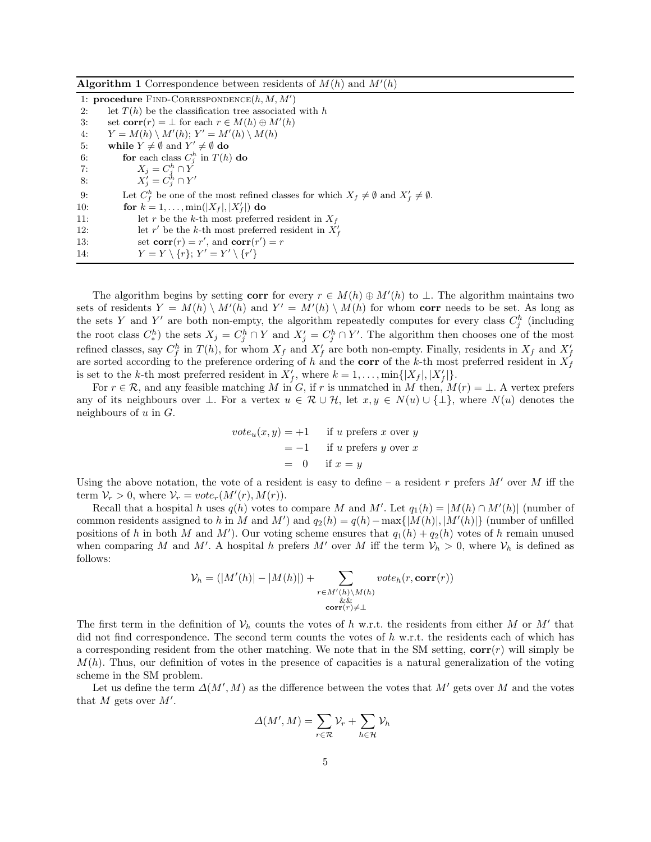| <b>Algorithm 1</b> Correspondence between residents of $M(h)$ and $M'(h)$                                       |
|-----------------------------------------------------------------------------------------------------------------|
| 1: <b>procedure</b> FIND-CORRESPONDENCE $(h, M, M')$                                                            |
| let $T(h)$ be the classification tree associated with h<br>2:                                                   |
| set $corr(r) = \perp$ for each $r \in M(h) \oplus M'(h)$<br>3:                                                  |
| $Y = M(h) \setminus M'(h); Y' = M'(h) \setminus M(h)$<br>4:                                                     |
| while $Y \neq \emptyset$ and $Y' \neq \emptyset$ do<br>5:                                                       |
| for each class $C_i^h$ in $T(h)$ do<br>6:                                                                       |
| $X_i = C_i^h \cap Y$<br>7:                                                                                      |
| $X'_i = C^h_i \cap Y'$<br>8:                                                                                    |
| Let $C_f^h$ be one of the most refined classes for which $X_f \neq \emptyset$ and $X'_f \neq \emptyset$ .<br>9: |
| for $k = 1, , min( X_f ,  X'_f )$ do<br>10:                                                                     |
| let r be the k-th most preferred resident in $X_f$<br>11:                                                       |
| let r' be the k-th most preferred resident in $X'_f$<br>12:                                                     |
| set $corr(r) = r'$ , and $corr(r') = r$<br>13:                                                                  |
| $Y = Y \setminus \{r\}; Y' = Y' \setminus \{r'\}$<br>14:                                                        |

The algorithm begins by setting corr for every  $r \in M(h) \oplus M'(h)$  to  $\perp$ . The algorithm maintains two sets of residents  $Y = M(h) \setminus M'(h)$  and  $Y' = M'(h) \setminus M(h)$  for whom corr needs to be set. As long as the sets Y and Y' are both non-empty, the algorithm repeatedly computes for every class  $C_j^h$  (including the root class  $C^h_*$ ) the sets  $X_j = C^h_j \cap Y$  and  $X'_j = C^h_j \cap Y'$ . The algorithm then chooses one of the most refined classes, say  $C_f^h$  in  $T(h)$ , for whom  $X_f$  and  $X'_f$  are both non-empty. Finally, residents in  $X_f$  and  $X'_f$  are sorted according to the preference ordering of h and the **corr** of the k-th most preferred residen is set to the k-th most preferred resident in  $X'_{f}$ , where  $k = 1, \ldots, \min\{|X_{f}|, |X'_{f}|\}.$ 

For  $r \in \mathcal{R}$ , and any feasible matching M in G, if r is unmatched in M then,  $M(r) = \perp$ . A vertex prefers any of its neighbours over  $\bot$ . For a vertex  $u \in \mathcal{R} \cup \mathcal{H}$ , let  $x, y \in N(u) \cup \{\bot\}$ , where  $N(u)$  denotes the neighbours of  $u$  in  $G$ .

$$
vote_u(x, y) = +1
$$
 if u prefers x over y  
= -1 if u prefers y over x  
= 0 if x = y

Using the above notation, the vote of a resident is easy to define – a resident r prefers  $M'$  over M iff the term  $V_r > 0$ , where  $V_r = vote_r(M'(r), M(r)).$ 

Recall that a hospital h uses  $q(h)$  votes to compare M and M'. Let  $q_1(h) = |M(h) \cap M'(h)|$  (number of common residents assigned to h in M and M') and  $q_2(h) = q(h) - \max\{|M(h)|, |M'(h)|\}$  (number of unfilled positions of h in both M and M'). Our voting scheme ensures that  $q_1(h) + q_2(h)$  votes of h remain unused when comparing M and M'. A hospital h prefers M' over M iff the term  $V_h > 0$ , where  $V_h$  is defined as follows:

$$
\mathcal{V}_h = (|M'(h)| - |M(h)|) + \sum_{\substack{r \in M'(h) \setminus M(h) \\ \& \& \& \text{corr}(r) \neq \bot}} \text{vote}_h(r, \text{corr}(r))
$$

The first term in the definition of  $\mathcal{V}_h$  counts the votes of h w.r.t. the residents from either M or M' that did not find correspondence. The second term counts the votes of  $h$  w.r.t. the residents each of which has a corresponding resident from the other matching. We note that in the SM setting,  $corr(r)$  will simply be  $M(h)$ . Thus, our definition of votes in the presence of capacities is a natural generalization of the voting scheme in the SM problem.

Let us define the term  $\Delta(M',M)$  as the difference between the votes that  $M'$  gets over M and the votes that  $M$  gets over  $M'$ .

$$
\Delta(M', M) = \sum_{r \in \mathcal{R}} \mathcal{V}_r + \sum_{h \in \mathcal{H}} \mathcal{V}_h
$$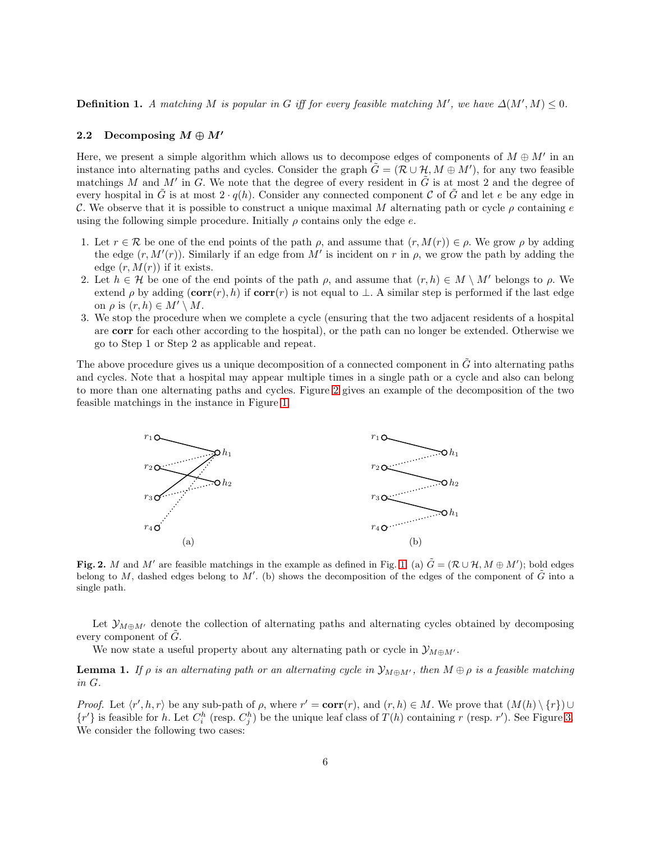**Definition 1.** A matching M is popular in G iff for every feasible matching M', we have  $\Delta(M',M) \leq 0$ .

### 2.2 Decomposing  $M \oplus M'$

Here, we present a simple algorithm which allows us to decompose edges of components of  $M \oplus M'$  in an instance into alternating paths and cycles. Consider the graph  $\tilde{G} = (\tilde{\mathcal{R}} \cup \mathcal{H}, M \oplus M')$ , for any two feasible matchings M and M' in G. We note that the degree of every resident in  $\tilde{G}$  is at most 2 and the degree of every hospital in  $\tilde{G}$  is at most  $2 \cdot q(h)$ . Consider any connected component C of  $\tilde{G}$  and let e be any edge in C. We observe that it is possible to construct a unique maximal M alternating path or cycle  $\rho$  containing e using the following simple procedure. Initially  $\rho$  contains only the edge  $e$ .

- 1. Let  $r \in \mathcal{R}$  be one of the end points of the path  $\rho$ , and assume that  $(r, M(r)) \in \rho$ . We grow  $\rho$  by adding the edge  $(r, M'(r))$ . Similarly if an edge from M' is incident on r in  $\rho$ , we grow the path by adding the edge  $(r, M(r))$  if it exists.
- 2. Let  $h \in \mathcal{H}$  be one of the end points of the path  $\rho$ , and assume that  $(r, h) \in M \setminus M'$  belongs to  $\rho$ . We extend  $\rho$  by adding  $(corr(r), h)$  if  $corr(r)$  is not equal to  $\perp$ . A similar step is performed if the last edge on  $\rho$  is  $(r, h) \in M' \setminus M$ .
- 3. We stop the procedure when we complete a cycle (ensuring that the two adjacent residents of a hospital are corr for each other according to the hospital), or the path can no longer be extended. Otherwise we go to Step 1 or Step 2 as applicable and repeat.

The above procedure gives us a unique decomposition of a connected component in  $\tilde{G}$  into alternating paths and cycles. Note that a hospital may appear multiple times in a single path or a cycle and also can belong to more than one alternating paths and cycles. Figure [2](#page-5-0) gives an example of the decomposition of the two feasible matchings in the instance in Figure [1.](#page-3-0)



<span id="page-5-0"></span>Fig. 2. M and M' are feasible matchings in the example as defined in Fig. [1.](#page-3-0) (a)  $\tilde{G} = (\mathcal{R} \cup \mathcal{H}, M \oplus M')$ ; bold edges belong to M, dashed edges belong to M'. (b) shows the decomposition of the edges of the component of  $\tilde{G}$  into a single path.

Let  $\mathcal{Y}_{M\oplus M'}$  denote the collection of alternating paths and alternating cycles obtained by decomposing every component of  $G$ .

<span id="page-5-1"></span>We now state a useful property about any alternating path or cycle in  $\mathcal{Y}_{M\oplus M'}$ .

**Lemma 1.** If  $\rho$  is an alternating path or an alternating cycle in  $\mathcal{Y}_{M\oplus M'}$ , then  $M\oplus \rho$  is a feasible matching in G.

*Proof.* Let  $\langle r', h, r \rangle$  be any sub-path of  $\rho$ , where  $r' = \text{corr}(r)$ , and  $(r, h) \in M$ . We prove that  $(M(h) \setminus \{r\}) \cup$  $\{r'\}$  is feasible for h. Let  $C_i^h$  (resp.  $C_j^h$ ) be the unique leaf class of  $T(h)$  containing r (resp. r'). See Figure [3.](#page-6-1) We consider the following two cases: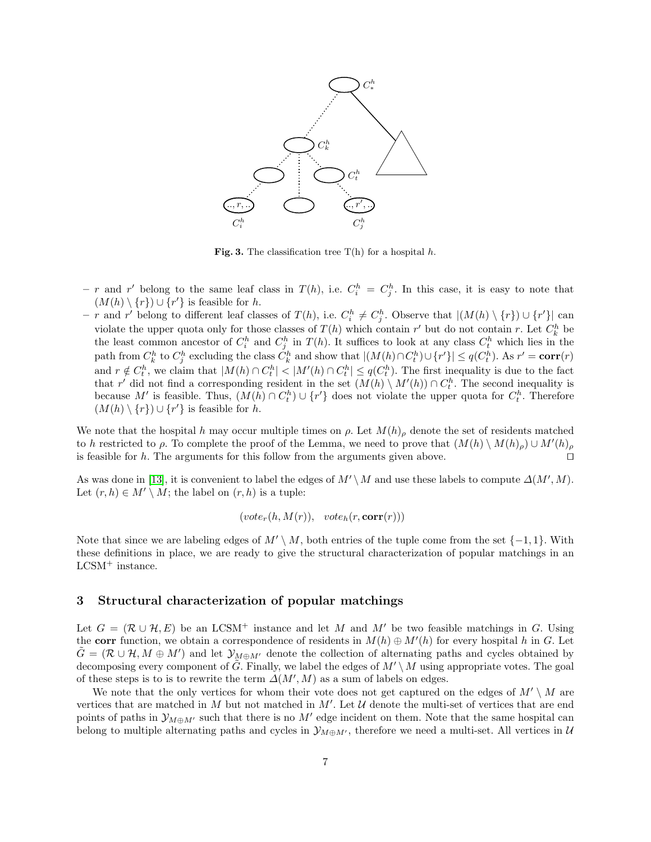

<span id="page-6-1"></span>Fig. 3. The classification tree  $T(h)$  for a hospital h.

- r and r' belong to the same leaf class in  $T(h)$ , i.e.  $C_i^h = C_j^h$ . In this case, it is easy to note that  $(M(h) \setminus \{r\}) \cup \{r'\}\$ is feasible for h.
- − r and r' belong to different leaf classes of  $T(h)$ , i.e.  $C_i^h \neq C_j^h$ . Observe that  $|(M(h) \setminus \{r\}) \cup \{r'\}|$  can violate the upper quota only for those classes of  $T(h)$  which contain r' but do not contain r. Let  $C_k^h$  be the least common ancestor of  $C_i^h$  and  $C_j^h$  in  $T(h)$ . It suffices to look at any class  $C_i^h$  which lies in the path from  $C_k^h$  to  $C_j^h$  excluding the class  $C_k^h$  and show that  $|(M(h) \cap C_t^h) \cup \{r'\}| \le q(C_t^h)$ . As  $r' = \text{corr}(r)$ and  $r \notin C_t^h$ , we claim that  $|M(h) \cap C_t^h| < |M'(h) \cap C_t^h| \le q(C_t^h)$ . The first inequality is due to the fact that r' did not find a corresponding resident in the set  $(M(h) \setminus M'(h)) \cap C_t^h$ . The second inequality is because M' is feasible. Thus,  $(M(h) \cap C_t^h) \cup \{r'\}$  does not violate the upper quota for  $C_t^h$ . Therefore  $(M(h) \setminus \{r\}) \cup \{r'\}\$ is feasible for h.

We note that the hospital h may occur multiple times on  $\rho$ . Let  $M(h)_{\rho}$  denote the set of residents matched to h restricted to  $\rho$ . To complete the proof of the Lemma, we need to prove that  $(M(h) \setminus M(h)_{\rho}) \cup M'(h)_{\rho}$ is feasible for h. The arguments for this follow from the arguments given above. □

As was done in [\[13\]](#page-17-0), it is convenient to label the edges of  $M' \setminus M$  and use these labels to compute  $\Delta(M', M)$ . Let  $(r, h) \in M' \setminus M$ ; the label on  $(r, h)$  is a tuple:

$$
(vote_r(h, M(r)), \ \ vote_h(r, corr(r)))
$$

Note that since we are labeling edges of  $M' \setminus M$ , both entries of the tuple come from the set  $\{-1, 1\}$ . With these definitions in place, we are ready to give the structural characterization of popular matchings in an LCSM<sup>+</sup> instance.

#### <span id="page-6-0"></span>3 Structural characterization of popular matchings

Let  $G = (\mathcal{R} \cup \mathcal{H}, E)$  be an LCSM<sup>+</sup> instance and let M and M' be two feasible matchings in G. Using the corr function, we obtain a correspondence of residents in  $M(h) \oplus M'(h)$  for every hospital h in G. Let  $\tilde{G} = (\mathcal{R} \cup \mathcal{H}, M \oplus M')$  and let  $\mathcal{Y}_{M \oplus M'}$  denote the collection of alternating paths and cycles obtained by decomposing every component of  $\tilde{G}$ . Finally, we label the edges of  $M' \setminus M$  using appropriate votes. The goal of these steps is to is to rewrite the term  $\Delta(M',M)$  as a sum of labels on edges.

We note that the only vertices for whom their vote does not get captured on the edges of  $M' \setminus M$  are vertices that are matched in M but not matched in  $M'$ . Let  $\mathcal U$  denote the multi-set of vertices that are end points of paths in  $\mathcal{Y}_{M\oplus M'}$  such that there is no  $M'$  edge incident on them. Note that the same hospital can belong to multiple alternating paths and cycles in  $\mathcal{Y}_{M\oplus M'}$ , therefore we need a multi-set. All vertices in U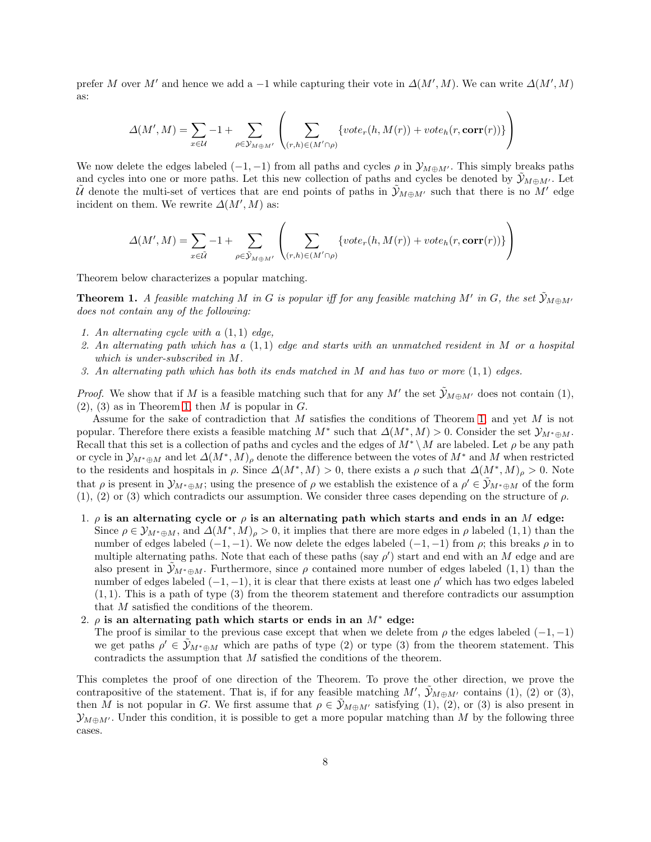prefer M over M' and hence we add a -1 while capturing their vote in  $\Delta(M',M)$ . We can write  $\Delta(M',M)$ as:

$$
\Delta(M',M) = \sum_{x \in \mathcal{U}} -1 + \sum_{\rho \in \mathcal{Y}_{M \oplus M'}} \left( \sum_{(r,h) \in (M' \cap \rho)} \{vote_r(h,M(r)) + vote_h(r,\mathbf{corr}(r))\} \right)
$$

We now delete the edges labeled  $(-1, -1)$  from all paths and cycles  $\rho$  in  $\mathcal{Y}_{M\oplus M'}$ . This simply breaks paths and cycles into one or more paths. Let this new collection of paths and cycles be denoted by  $\mathcal{Y}_{M\oplus M'}$ . Let  $\tilde{U}$  denote the multi-set of vertices that are end points of paths in  $\tilde{y}_{M\oplus M'}$  such that there is no  $M'$  edge incident on them. We rewrite  $\Delta(M',M)$  as:

<span id="page-7-0"></span>
$$
\Delta(M',M) = \sum_{x \in \tilde{U}} -1 + \sum_{\rho \in \tilde{\mathcal{Y}}_{M \oplus M'}} \left( \sum_{(r,h) \in (M' \cap \rho)} \{vote_r(h,M(r)) + vote_h(r,\mathbf{corr}(r))\} \right)
$$

Theorem below characterizes a popular matching.

**Theorem 1.** A feasible matching M in G is popular iff for any feasible matching M' in G, the set  $\tilde{y}_{M \oplus M'}$ does not contain any of the following:

- 1. An alternating cycle with a  $(1, 1)$  edge,
- 2. An alternating path which has a  $(1,1)$  edge and starts with an unmatched resident in M or a hospital which is under-subscribed in M.
- 3. An alternating path which has both its ends matched in M and has two or more  $(1,1)$  edges.

*Proof.* We show that if M is a feasible matching such that for any M' the set  $\tilde{\mathcal{Y}}_{M\oplus M'}$  does not contain (1),  $(2), (3)$  as in Theorem [1,](#page-7-0) then M is popular in G.

Assume for the sake of contradiction that M satisfies the conditions of Theorem [1,](#page-7-0) and yet M is not popular. Therefore there exists a feasible matching  $M^*$  such that  $\Delta(M^*,M) > 0$ . Consider the set  $\mathcal{Y}_{M^*\oplus M}$ . Recall that this set is a collection of paths and cycles and the edges of  $M^* \setminus M$  are labeled. Let  $\rho$  be any path or cycle in  $\mathcal{Y}_{M^*\oplus M}$  and let  $\Delta(M^*,M)_{\rho}$  denote the difference between the votes of  $M^*$  and M when restricted to the residents and hospitals in  $\rho$ . Since  $\Delta(M^*,M) > 0$ , there exists a  $\rho$  such that  $\Delta(M^*,M)_{\rho} > 0$ . Note that  $\rho$  is present in  $\mathcal{Y}_{M^*\oplus M}$ ; using the presence of  $\rho$  we establish the existence of a  $\rho' \in \tilde{\mathcal{Y}}_{M^*\oplus M}$  of the form  $(1), (2)$  or  $(3)$  which contradicts our assumption. We consider three cases depending on the structure of  $\rho$ .

1.  $\rho$  is an alternating cycle or  $\rho$  is an alternating path which starts and ends in an M edge: Since  $\rho \in \mathcal{Y}_{M^*\oplus M}$ , and  $\Delta(M^*, M)_{\rho} > 0$ , it implies that there are more edges in  $\rho$  labeled  $(1, 1)$  than the number of edges labeled  $(-1, -1)$ . We now delete the edges labeled  $(-1, -1)$  from  $\rho$ ; this breaks  $\rho$  in to multiple alternating paths. Note that each of these paths (say  $\rho'$ ) start and end with an M edge and are also present in  $\mathcal{Y}_{M^*\oplus M}$ . Furthermore, since  $\rho$  contained more number of edges labeled (1, 1) than the number of edges labeled  $(-1, -1)$ , it is clear that there exists at least one  $\rho'$  which has two edges labeled  $(1, 1)$ . This is a path of type  $(3)$  from the theorem statement and therefore contradicts our assumption that M satisfied the conditions of the theorem.

### 2.  $\rho$  is an alternating path which starts or ends in an  $M^*$  edge:

The proof is similar to the previous case except that when we delete from  $\rho$  the edges labeled  $(-1,-1)$ we get paths  $\rho' \in \tilde{\mathcal{Y}}_{M^* \oplus M}$  which are paths of type (2) or type (3) from the theorem statement. This contradicts the assumption that M satisfied the conditions of the theorem.

This completes the proof of one direction of the Theorem. To prove the other direction, we prove the contrapositive of the statement. That is, if for any feasible matching  $M'$ ,  $\tilde{\mathcal{Y}}_{M\oplus M'}$  contains (1), (2) or (3), then M is not popular in G. We first assume that  $\rho \in \mathcal{Y}_{M\oplus M'}$  satisfying (1), (2), or (3) is also present in  $\mathcal{Y}_{M\oplus M'}$ . Under this condition, it is possible to get a more popular matching than M by the following three cases.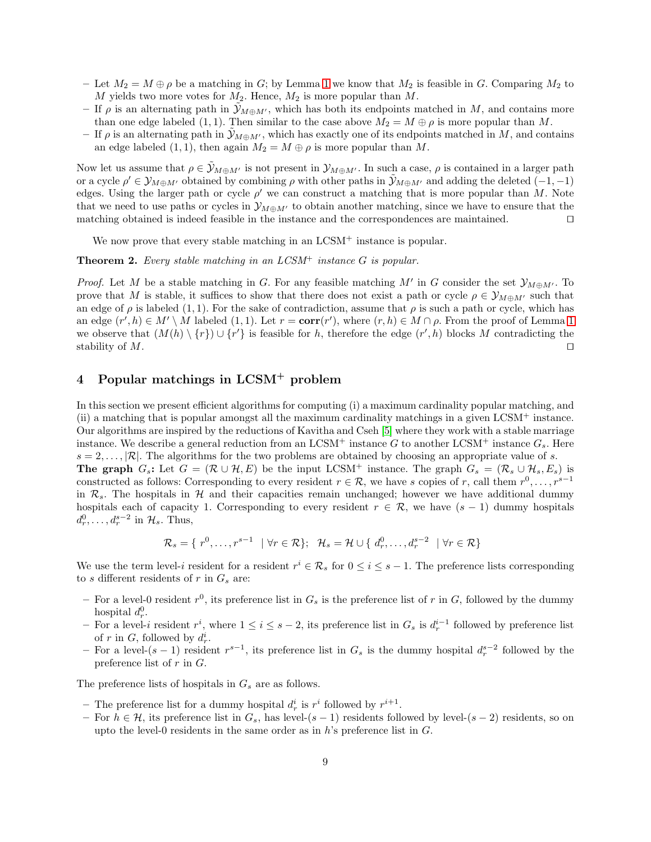- Let  $M_2 = M \oplus \rho$  be a matching in G; by Lemma [1](#page-5-1) we know that  $M_2$  is feasible in G. Comparing  $M_2$  to M yields two more votes for  $M_2$ . Hence,  $M_2$  is more popular than M.
- If  $\rho$  is an alternating path in  $\mathcal{Y}_{M\oplus M'}$ , which has both its endpoints matched in M, and contains more than one edge labeled (1, 1). Then similar to the case above  $M_2 = M \oplus \rho$  is more popular than M.
- If  $\rho$  is an alternating path in  $\mathcal{Y}_{M\oplus M'}$ , which has exactly one of its endpoints matched in M, and contains an edge labeled  $(1, 1)$ , then again  $M_2 = M \oplus \rho$  is more popular than M.

Now let us assume that  $\rho \in \mathcal{Y}_{M\oplus M'}$  is not present in  $\mathcal{Y}_{M\oplus M'}$ . In such a case,  $\rho$  is contained in a larger path or a cycle  $\rho' \in \mathcal{Y}_{M\oplus M'}$  obtained by combining  $\rho$  with other paths in  $\tilde{\mathcal{Y}}_{M\oplus M'}$  and adding the deleted  $(-1,-1)$ edges. Using the larger path or cycle  $\rho'$  we can construct a matching that is more popular than M. Note that we need to use paths or cycles in  $\mathcal{Y}_{M\oplus M'}$  to obtain another matching, since we have to ensure that the matching obtained is indeed feasible in the instance and the correspondences are maintained. ⊓⊔

We now prove that every stable matching in an LCSM<sup>+</sup> instance is popular.

**Theorem 2.** Every stable matching in an  $LCSM^+$  instance G is popular.

*Proof.* Let M be a stable matching in G. For any feasible matching M' in G consider the set  $\mathcal{Y}_{M\oplus M'}$ . To prove that M is stable, it suffices to show that there does not exist a path or cycle  $\rho \in \mathcal{Y}_{M\oplus M'}$  such that an edge of  $\rho$  is labeled (1, 1). For the sake of contradiction, assume that  $\rho$  is such a path or cycle, which has an edge  $(r', h) \in M' \setminus M$  labeled  $(1, 1)$  $(1, 1)$  $(1, 1)$ . Let  $r = corr(r')$ , where  $(r, h) \in M \cap \rho$ . From the proof of Lemma 1 we observe that  $(M(h) \setminus \{r\}) \cup \{r'\}$  is feasible for h, therefore the edge  $(r', h)$  blocks M contradicting the stability of M.  $□$ 

# <span id="page-8-0"></span>4 Popular matchings in LCSM<sup>+</sup> problem

In this section we present efficient algorithms for computing (i) a maximum cardinality popular matching, and (ii) a matching that is popular amongst all the maximum cardinality matchings in a given LCSM<sup>+</sup> instance. Our algorithms are inspired by the reductions of Kavitha and Cseh [\[5\]](#page-16-7) where they work with a stable marriage instance. We describe a general reduction from an LCSM<sup>+</sup> instance G to another LCSM<sup>+</sup> instance  $G_s$ . Here  $s = 2, \ldots, |\mathcal{R}|$ . The algorithms for the two problems are obtained by choosing an appropriate value of s. **The graph**  $G_s$ : Let  $G = (\mathcal{R} \cup \mathcal{H}, E)$  be the input LCSM<sup>+</sup> instance. The graph  $G_s = (\mathcal{R}_s \cup \mathcal{H}_s, E_s)$  is constructed as follows: Corresponding to every resident  $r \in \mathcal{R}$ , we have s copies of r, call them  $r^0, \ldots, r^{s-1}$ in  $\mathcal{R}_s$ . The hospitals in H and their capacities remain unchanged; however we have additional dummy hospitals each of capacity 1. Corresponding to every resident  $r \in \mathcal{R}$ , we have  $(s - 1)$  dummy hospitals  $d_r^0, \ldots, d_r^{s-2}$  in  $\mathcal{H}_s$ . Thus,

$$
\mathcal{R}_s = \{ r^0, \ldots, r^{s-1} \mid \forall r \in \mathcal{R} \}; \quad \mathcal{H}_s = \mathcal{H} \cup \{ d_r^0, \ldots, d_r^{s-2} \mid \forall r \in \mathcal{R} \}
$$

We use the term level-*i* resident for a resident  $r^i \in \mathcal{R}_s$  for  $0 \leq i \leq s-1$ . The preference lists corresponding to  $s$  different residents of  $r$  in  $G_s$  are:

- For a level-0 resident  $r^0$ , its preference list in  $G_s$  is the preference list of r in G, followed by the dummy hospital  $d_r^0$ .
- − For a level-i resident  $r^i$ , where  $1 \le i \le s-2$ , its preference list in  $G_s$  is  $d_r^{i-1}$  followed by preference list of r in G, followed by  $d_r^i$ .
- − For a level- $(s-1)$  resident  $r^{s-1}$ , its preference list in  $G_s$  is the dummy hospital  $d_r^{s-2}$  followed by the preference list of  $r$  in  $G$ .

The preference lists of hospitals in  $G_s$  are as follows.

- The preference list for a dummy hospital  $d_r^i$  is  $r^i$  followed by  $r^{i+1}$ .
- For  $h \in \mathcal{H}$ , its preference list in  $G_s$ , has level-(s − 1) residents followed by level-(s − 2) residents, so on upto the level-0 residents in the same order as in  $h$ 's preference list in  $G$ .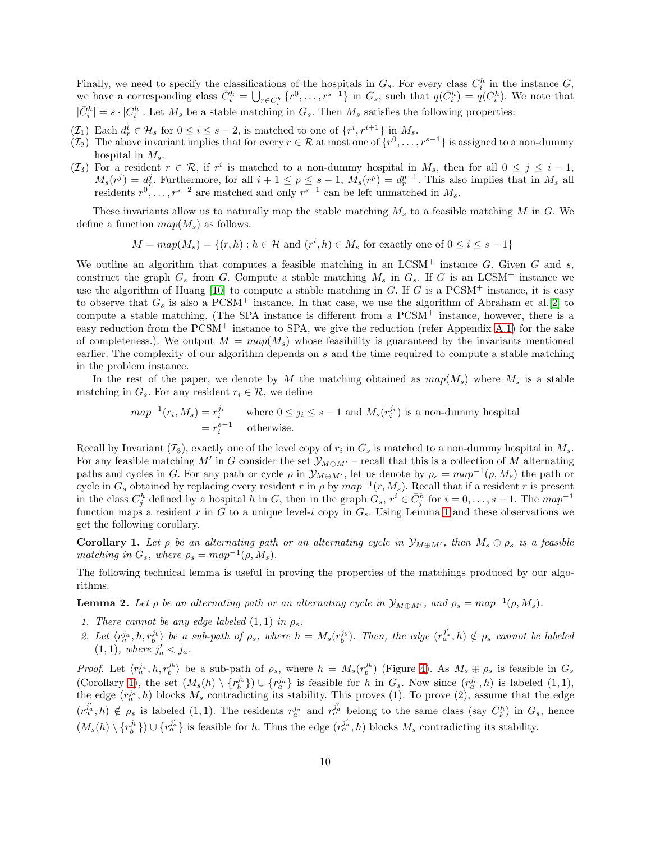Finally, we need to specify the classifications of the hospitals in  $G_s$ . For every class  $C_i^h$  in the instance  $G$ , we have a corresponding class  $\bar{C}_i^h = \bigcup_{r \in C_i^h} \{r^0, \ldots, r^{s-1}\}$  in  $G_s$ , such that  $q(\bar{C}_i^h) = q(C_i^h)$ . We note that  $|\bar{C}_i^h| = s \cdot |C_i^h|$ . Let  $M_s$  be a stable matching in  $G_s$ . Then  $M_s$  satisfies the following properties:

- $(\mathcal{I}_1)$  Each  $d_r^i \in \mathcal{H}_s$  for  $0 \leq i \leq s-2$ , is matched to one of  $\{r^i, r^{i+1}\}\n\text{ in } M_s$ .
- $(\mathcal{I}_2)$  The above invariant implies that for every  $r \in \mathcal{R}$  at most one of  $\{r^0, \ldots, r^{s-1}\}$  is assigned to a non-dummy hospital in  $M_s$ .
- $(\mathcal{I}_3)$  For a resident  $r \in \mathcal{R}$ , if  $r^i$  is matched to a non-dummy hospital in  $M_s$ , then for all  $0 \leq j \leq i-1$ ,  $M_s(r^j) = d_r^j$ . Furthermore, for all  $i+1 \leq p \leq s-1$ ,  $M_s(r^p) = d_r^{p-1}$ . This also implies that in  $M_s$  all residents  $r^0, \ldots, r^{s-2}$  are matched and only  $r^{s-1}$  can be left unmatched in  $M_s$ .

These invariants allow us to naturally map the stable matching  $M_s$  to a feasible matching M in G. We define a function  $map(M_s)$  as follows.

$$
M = map(M_s) = \{(r, h) : h \in \mathcal{H} \text{ and } (r^i, h) \in M_s \text{ for exactly one of } 0 \leq i \leq s-1\}
$$

We outline an algorithm that computes a feasible matching in an  $LCSM^+$  instance G. Given G and s, construct the graph  $G_s$  from G. Compute a stable matching  $M_s$  in  $G_s$ . If G is an LCSM<sup>+</sup> instance we use the algorithm of Huang  $[10]$  to compute a stable matching in G. If G is a PCSM<sup>+</sup> instance, it is easy to observe that  $G_s$  is also a PCSM<sup>+</sup> instance. In that case, we use the algorithm of Abraham et al.[\[2\]](#page-16-9) to compute a stable matching. (The SPA instance is different from a PCSM<sup>+</sup> instance, however, there is a easy reduction from the  $PCSM^+$  instance to SPA, we give the reduction (refer Appendix [A.1\)](#page-17-3) for the sake of completeness.). We output  $M = map(M<sub>s</sub>)$  whose feasibility is guaranteed by the invariants mentioned earlier. The complexity of our algorithm depends on s and the time required to compute a stable matching in the problem instance.

In the rest of the paper, we denote by M the matching obtained as  $map(M_s)$  where  $M_s$  is a stable matching in  $G_s$ . For any resident  $r_i \in \mathcal{R}$ , we define

$$
map^{-1}(r_i, M_s) = r_i^{j_i}
$$
 where  $0 \le j_i \le s - 1$  and  $M_s(r_i^{j_i})$  is a non-dummy hospital  
=  $r_i^{s-1}$  otherwise.

Recall by Invariant  $(\mathcal{I}_3)$ , exactly one of the level copy of  $r_i$  in  $G_s$  is matched to a non-dummy hospital in  $M_s$ . For any feasible matching M' in G consider the set  $\mathcal{Y}_{M\oplus M'}$  – recall that this is a collection of M alternating paths and cycles in G. For any path or cycle  $\rho$  in  $\mathcal{Y}_{M\oplus M'}$ , let us denote by  $\rho_s = map^{-1}(\rho, M_s)$  the path or cycle in  $G_s$  obtained by replacing every resident r in  $\rho$  by  $map^{-1}(r, M_s)$ . Recall that if a resident r is present in the class  $C_j^h$  defined by a hospital h in G, then in the graph  $G_s$ ,  $r^i \in \bar{C}_j^h$  for  $i = 0, \ldots, s-1$ . The  $map^{-1}$ function maps a resident r in G to a unique level-i copy in  $G_s$ . Using Lemma [1](#page-5-1) and these observations we get the following corollary.

<span id="page-9-0"></span>**Corollary 1.** Let  $\rho$  be an alternating path or an alternating cycle in  $\mathcal{Y}_{M\oplus M'}$ , then  $M_s \oplus \rho_s$  is a feasible matching in  $G_s$ , where  $\rho_s = map^{-1}(\rho, M_s)$ .

<span id="page-9-1"></span>The following technical lemma is useful in proving the properties of the matchings produced by our algorithms.

**Lemma 2.** Let  $\rho$  be an alternating path or an alternating cycle in  $\mathcal{Y}_{M\oplus M'}$ , and  $\rho_s = map^{-1}(\rho, M_s)$ .

- 1. There cannot be any edge labeled  $(1, 1)$  in  $\rho_s$ .
- 2. Let  $\langle r_a^{j_a}, h, r_b^{j_b} \rangle$  be a sub-path of  $\rho_s$ , where  $h = M_s(r_b^{j_b})$ . Then, the edge  $(r_a^{j_a'}, h) \notin \rho_s$  cannot be labeled  $(1, 1)$ , where  $j'_a < j_a$ .

*Proof.* Let  $\langle r_a^{j_a}, h, r_b^{j_b} \rangle$  be a sub-path of  $\rho_s$ , where  $h = M_s(r_b^{j_b})$  (Figure [4\)](#page-10-0). As  $M_s \oplus \rho_s$  is feasible in  $G_s$ (Corollary [1\)](#page-9-0), the set  $(M_s(h) \setminus \{r_b^{j_b}\}) \cup \{r_a^{j_a}\}\$ is feasible for h in  $G_s$ . Now since  $(r_a^{j_a}, h)$  is labeled  $(1, 1)$ , the edge  $(r_a^{j_a}, h)$  blocks  $M_s$  contradicting its stability. This proves (1). To prove (2), assume that the edge  $(r_a^{j_a}, h) \notin \rho_s$  is labeled  $(1, 1)$ . The residents  $r_a^{j_a}$  and  $r_a^{j_a'}$  belong to the same class (say  $\bar{C}_k^h$ ) in  $G_s$ , hence  $(M_s(h) \setminus \{r_b^{j_a}\}) \cup \{r_a^{j_a'}\}$  is feasible for h. Thus the edge  $(r_a^{j_a'}, h)$  blocks  $M_s$  contradicting its stability.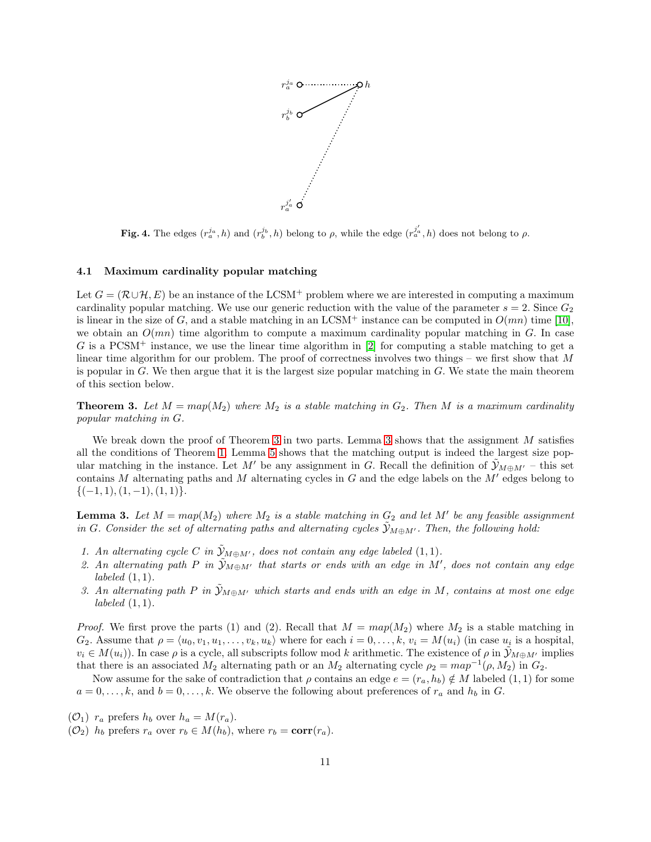

<span id="page-10-0"></span>Fig. 4. The edges  $(r_a^{j_a}, h)$  and  $(r_b^{j_b}, h)$  belong to  $\rho$ , while the edge  $(r_a^{j'_a}, h)$  does not belong to  $\rho$ .

#### 4.1 Maximum cardinality popular matching

Let  $G = (\mathcal{R} \cup \mathcal{H}, E)$  be an instance of the LCSM<sup>+</sup> problem where we are interested in computing a maximum cardinality popular matching. We use our generic reduction with the value of the parameter  $s = 2$ . Since  $G_2$ is linear in the size of G, and a stable matching in an LCSM<sup>+</sup> instance can be computed in  $O(mn)$  time [\[10\]](#page-16-1), we obtain an  $O(mn)$  time algorithm to compute a maximum cardinality popular matching in G. In case  $G$  is a PCSM<sup>+</sup> instance, we use the linear time algorithm in [\[2\]](#page-16-9) for computing a stable matching to get a linear time algorithm for our problem. The proof of correctness involves two things – we first show that  $M$ is popular in  $G$ . We then argue that it is the largest size popular matching in  $G$ . We state the main theorem of this section below.

<span id="page-10-1"></span>**Theorem 3.** Let  $M = map(M_2)$  where  $M_2$  is a stable matching in  $G_2$ . Then M is a maximum cardinality popular matching in G.

We break down the proof of Theorem [3](#page-10-2) in two parts. Lemma 3 shows that the assignment M satisfies all the conditions of Theorem [1.](#page-7-0) Lemma [5](#page-13-0) shows that the matching output is indeed the largest size popular matching in the instance. Let M' be any assignment in G. Recall the definition of  $\mathcal{Y}_{M\oplus M'}$  – this set contains M alternating paths and M alternating cycles in  $G$  and the edge labels on the  $M'$  edges belong to  ${(-1, 1), (1, -1), (1, 1)}.$ 

<span id="page-10-2"></span>**Lemma 3.** Let  $M = map(M_2)$  where  $M_2$  is a stable matching in  $G_2$  and let  $M'$  be any feasible assignment in G. Consider the set of alternating paths and alternating cycles  $\mathcal{Y}_{M\oplus M'}$ . Then, the following hold:

- 1. An alternating cycle C in  $\tilde{y}_{M\oplus M'}$ , does not contain any edge labeled (1,1).
- 2. An alternating path P in  $\tilde{y}_{M \oplus M'}$  that starts or ends with an edge in M', does not contain any edge  $labeled (1,1).$
- 3. An alternating path P in  $\tilde{y}_{M\oplus M'}$  which starts and ends with an edge in M, contains at most one edge  $labeled (1,1).$

*Proof.* We first prove the parts (1) and (2). Recall that  $M = map(M_2)$  where  $M_2$  is a stable matching in  $G_2$ . Assume that  $\rho = \langle u_0, v_1, u_1, \ldots, v_k, u_k \rangle$  where for each  $i = 0, \ldots, k$ ,  $v_i = M(u_i)$  (in case  $u_i$  is a hospital,  $v_i \in M(u_i)$ . In case  $\rho$  is a cycle, all subscripts follow mod k arithmetic. The existence of  $\rho$  in  $\mathcal{Y}_{M\oplus M'}$  implies that there is an associated  $M_2$  alternating path or an  $M_2$  alternating cycle  $\rho_2 = map^{-1}(\rho, M_2)$  in  $G_2$ .

Now assume for the sake of contradiction that  $\rho$  contains an edge  $e = (r_a, h_b) \notin M$  labeled  $(1, 1)$  for some  $a = 0, \ldots, k$ , and  $b = 0, \ldots, k$ . We observe the following about preferences of  $r_a$  and  $h_b$  in G.

- $(\mathcal{O}_1)$  r<sub>a</sub> prefers  $h_b$  over  $h_a = M(r_a)$ .
- $(\mathcal{O}_2)$  h<sub>b</sub> prefers  $r_a$  over  $r_b \in M(h_b)$ , where  $r_b = \text{corr}(r_a)$ .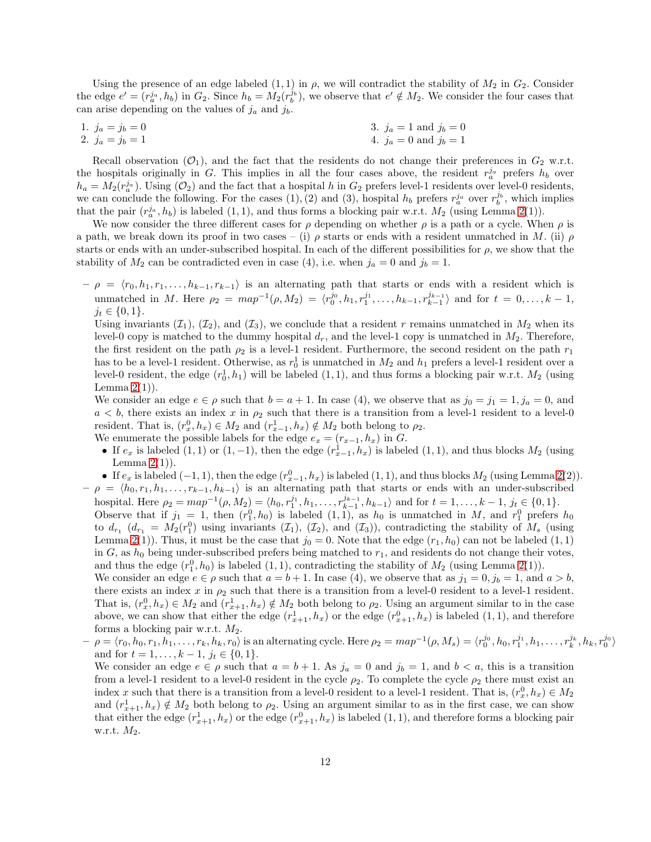Using the presence of an edge labeled  $(1, 1)$  in  $\rho$ , we will contradict the stability of  $M_2$  in  $G_2$ . Consider the edge  $e' = (r_a^{j_a}, h_b)$  in  $G_2$ . Since  $h_b = M_2(r_b^{j_b})$ , we observe that  $e' \notin M_2$ . We consider the four cases that can arise depending on the values of  $j_a$  and  $j_b$ .

| 1. $j_a = j_b = 0$ | 3. $j_a = 1$ and $j_b = 0$ |
|--------------------|----------------------------|
| 2. $j_a = j_b = 1$ | 4. $j_a = 0$ and $j_b = 1$ |

Recall observation  $(\mathcal{O}_1)$ , and the fact that the residents do not change their preferences in  $G_2$  w.r.t. the hospitals originally in G. This implies in all the four cases above, the resident  $r_a^{j_a}$  prefers  $h_b$  over  $h_a = M_2(r_a^{j_a})$ . Using  $(\mathcal{O}_2)$  and the fact that a hospital h in  $G_2$  prefers level-1 residents over level-0 residents, we can conclude the following. For the cases (1), (2) and (3), hospital  $h_b$  prefers  $r_a^{j_a}$  over  $r_b^{j_b}$ , which implies that the pair  $(r_a^j, h_b)$  is labeled  $(1, 1)$ , and thus forms a blocking pair w.r.t.  $M_2$  (using Lemma [2\(](#page-9-1)1)).

We now consider the three different cases for  $\rho$  depending on whether  $\rho$  is a path or a cycle. When  $\rho$  is a path, we break down its proof in two cases – (i)  $\rho$  starts or ends with a resident unmatched in M. (ii)  $\rho$ starts or ends with an under-subscribed hospital. In each of the different possibilities for  $\rho$ , we show that the stability of  $M_2$  can be contradicted even in case (4), i.e. when  $j_a = 0$  and  $j_b = 1$ .

 $-\rho = \langle r_0, h_1, r_1, \ldots, h_{k-1}, r_{k-1}\rangle$  is an alternating path that starts or ends with a resident which is unmatched in M. Here  $\rho_2 = map^{-1}(\rho, M_2) = \langle r_0^{j_0}, h_1, r_1^{j_1}, \ldots, h_{k-1}, r_{k-1}^{j_{k-1}} \rangle$  and for  $t = 0, \ldots, k-1$ ,  $j_t \in \{0, 1\}.$ 

Using invariants  $(\mathcal{I}_1), (\mathcal{I}_2)$ , and  $(\mathcal{I}_3)$ , we conclude that a resident r remains unmatched in  $M_2$  when its level-0 copy is matched to the dummy hospital  $d_r$ , and the level-1 copy is unmatched in  $M_2$ . Therefore, the first resident on the path  $\rho_2$  is a level-1 resident. Furthermore, the second resident on the path  $r_1$ has to be a level-1 resident. Otherwise, as  $r_0^1$  is unmatched in  $M_2$  and  $h_1$  prefers a level-1 resident over a level-0 resident, the edge  $(r_0^1, h_1)$  will be labeled  $(1, 1)$ , and thus forms a blocking pair w.r.t.  $M_2$  (using Lemma  $2(1)$ ).

We consider an edge  $e \in \rho$  such that  $b = a + 1$ . In case (4), we observe that as  $j_0 = j_1 = 1, j_a = 0$ , and  $a < b$ , there exists an index x in  $\rho_2$  such that there is a transition from a level-1 resident to a level-0 resident. That is,  $(r_x^0, h_x) \in M_2$  and  $(r_{x-1}^1, h_x) \notin M_2$  both belong to  $\rho_2$ .

- We enumerate the possible labels for the edge  $e_x = (r_{x-1}, h_x)$  in G.
- If  $e_x$  is labeled  $(1,1)$  or  $(1,-1)$ , then the edge  $(r_{x-1}^1, h_x)$  is labeled  $(1,1)$ , and thus blocks  $M_2$  (using Lemma  $2(1)$ ).

• If  $e_x$  is labeled  $(-1, 1)$ , then the edge  $(r_{x-1}^0, h_x)$  is labeled  $(1, 1)$ , and thus blocks  $M_2$  (using Lemma [2\(](#page-9-1)2)).  $-\rho = \langle h_0, r_1, h_1, \ldots, r_{k-1}, h_{k-1} \rangle$  is an alternating path that starts or ends with an under-subscribed

hospital. Here  $\rho_2 = map^{-1}(\rho, M_2) = \langle h_0, r_1^{j_1}, h_1, \ldots, r_{k-1}^{j_{k-1}}, h_{k-1} \rangle$  and for  $t = 1, \ldots, k-1$ ,  $j_t \in \{0, 1\}$ . Observe that if  $j_1 = 1$ , then  $(r_1^0, h_0)$  is labeled  $(1, 1)$ , as  $h_0$  is unmatched in M, and  $r_1^0$  prefers  $h_0$ to  $d_{r_1}$  ( $d_{r_1} = M_2(r_1^0)$  using invariants  $(\mathcal{I}_1), (\mathcal{I}_2),$  and  $(\mathcal{I}_3)$ ), contradicting the stability of  $M_s$  (using Lemma [2\(](#page-9-1)1)). Thus, it must be the case that  $j_0 = 0$ . Note that the edge  $(r_1, h_0)$  can not be labeled  $(1, 1)$ in G, as  $h_0$  being under-subscribed prefers being matched to  $r_1$ , and residents do not change their votes, and thus the edge  $(r_1^0, h_0)$  is labeled  $(1, 1)$ , contradicting the stability of  $M_2$  (using Lemma [2\(](#page-9-1)1)). We consider an edge  $e \in \rho$  such that  $a = b + 1$ . In case (4), we observe that as  $j_1 = 0, j_b = 1$ , and  $a > b$ , there exists an index x in  $\rho_2$  such that there is a transition from a level-0 resident to a level-1 resident.

That is,  $(r_x^0, h_x) \in M_2$  and  $(r_{x+1}^1, h_x) \notin M_2$  both belong to  $\rho_2$ . Using an argument similar to in the case above, we can show that either the edge  $(r_{x+1}^1, h_x)$  or the edge  $(r_{x+1}^0, h_x)$  is labeled  $(1, 1)$ , and therefore forms a blocking pair w.r.t.  $M_2$ .

 $\hat{\rho} = \langle r_0, h_0, r_1, \tilde{h_1}, \ldots, r_k, h_k, r_0 \rangle$  is an alternating cycle. Here  $\rho_2 = map^{-1}(\rho, M_s) = \langle r_0^{j_0}, h_0, r_1^{j_1}, h_1, \ldots, r_k^{j_k}, h_k, r_0^{j_0} \rangle$ and for  $t = 1, \ldots, k - 1, j_t \in \{0, 1\}.$ 

We consider an edge  $e \in \rho$  such that  $a = b + 1$ . As  $j_a = 0$  and  $j_b = 1$ , and  $b < a$ , this is a transition from a level-1 resident to a level-0 resident in the cycle  $\rho_2$ . To complete the cycle  $\rho_2$  there must exist an index x such that there is a transition from a level-0 resident to a level-1 resident. That is,  $(r_x^0, h_x) \in M_2$ and  $(r_{x+1}^1, h_x) \notin M_2$  both belong to  $\rho_2$ . Using an argument similar to as in the first case, we can show that either the edge  $(r_{x+1}^1, h_x)$  or the edge  $(r_{x+1}^0, h_x)$  is labeled  $(1, 1)$ , and therefore forms a blocking pair w.r.t.  $M_2$ .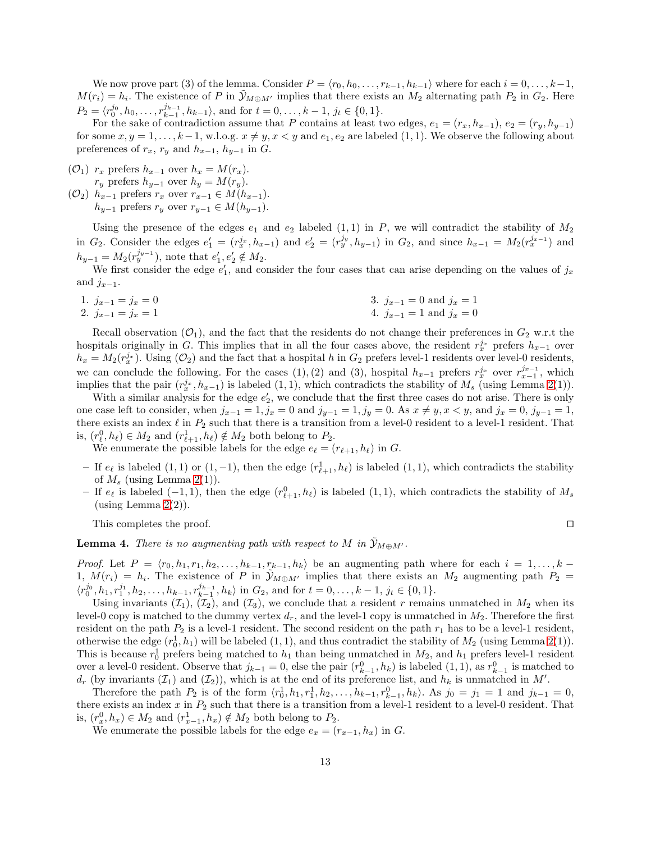We now prove part (3) of the lemma. Consider  $P = \langle r_0, h_0, \ldots, r_{k-1}, h_{k-1} \rangle$  where for each  $i = 0, \ldots, k-1$ ,  $M(r_i) = h_i$ . The existence of P in  $\tilde{y}_{M \oplus M'}$  implies that there exists an  $M_2$  alternating path  $P_2$  in  $G_2$ . Here  $P_2 = \langle r_0^{j_0}, h_0, \ldots, r_{k-1}^{j_{k-1}}, h_{k-1} \rangle$ , and for  $t = 0, \ldots, k-1$ ,  $j_t \in \{0, 1\}$ .

For the sake of contradiction assume that P contains at least two edges,  $e_1 = (r_x, h_{x-1}), e_2 = (r_y, h_{y-1})$ for some  $x, y = 1, \ldots, k-1$ , w.l.o.g.  $x \neq y, x < y$  and  $e_1, e_2$  are labeled  $(1, 1)$ . We observe the following about preferences of  $r_x$ ,  $r_y$  and  $h_{x-1}$ ,  $h_{y-1}$  in G.

 $(\mathcal{O}_1)$   $r_x$  prefers  $h_{x-1}$  over  $h_x = M(r_x)$ .  $r_y$  prefers  $h_{y-1}$  over  $h_y = M(r_y)$ .

 $(\mathcal{O}_2)$  h<sub>x−1</sub> prefers  $r_x$  over  $r_{x-1} \in M(h_{x-1})$ .  $h_{y-1}$  prefers  $r_y$  over  $r_{y-1}$  ∈  $M(h_{y-1})$ .

Using the presence of the edges  $e_1$  and  $e_2$  labeled  $(1, 1)$  in P, we will contradict the stability of  $M_2$ in  $G_2$ . Consider the edges  $e'_1 = (r_x^{j_x}, h_{x-1})$  and  $e'_2 = (r_y^{j_y}, h_{y-1})$  in  $G_2$ , and since  $h_{x-1} = M_2(r_x^{j_{x-1}})$  and  $h_{y-1} = M_2(r_y^{j_{y-1}})$ , note that  $e'_1, e'_2 \notin M_2$ .

We first consider the edge  $e'_1$ , and consider the four cases that can arise depending on the values of  $j_x$ and  $j_{x-1}$ .

| 1. $j_{x-1} = j_x = 0$ | 3. $j_{x-1} = 0$ and $j_x = 1$ |
|------------------------|--------------------------------|
| 2. $j_{x-1} = j_x = 1$ | 4. $j_{x-1} = 1$ and $j_x = 0$ |

Recall observation  $(\mathcal{O}_1)$ , and the fact that the residents do not change their preferences in  $G_2$  w.r.t the hospitals originally in G. This implies that in all the four cases above, the resident  $r_x^{j_x}$  prefers  $h_{x-1}$  over  $h_x = M_2(r_x^{j_x})$ . Using  $(\mathcal{O}_2)$  and the fact that a hospital h in  $G_2$  prefers level-1 residents over level-0 residents, we can conclude the following. For the cases (1),(2) and (3), hospital  $h_{x-1}$  prefers  $r_{x}^{j_x}$  over  $r_{x-1}^{j_{x-1}}$ , which implies that the pair  $(r_x^{j_x}, h_{x-1})$  is labeled  $(1, 1)$ , which contradicts the stability of  $M_s$  (using Lemma [2\(](#page-9-1)1)).

With a similar analysis for the edge  $e'_2$ , we conclude that the first three cases do not arise. There is only one case left to consider, when  $j_{x-1} = 1, j_x = 0$  and  $j_{y-1} = 1, j_y = 0$ . As  $x \neq y, x < y$ , and  $j_x = 0, j_{y-1} = 1$ , there exists an index  $\ell$  in  $P_2$  such that there is a transition from a level-0 resident to a level-1 resident. That is,  $(r_{\ell}^0, h_{\ell}) \in M_2$  and  $(r_{\ell+1}^1, h_{\ell}) \notin M_2$  both belong to  $P_2$ .

We enumerate the possible labels for the edge  $e_{\ell} = (r_{\ell+1}, h_{\ell})$  in G.

- $−$  If  $e_{\ell}$  is labeled  $(1,1)$  or  $(1,-1)$ , then the edge  $(r_{\ell+1}^1, h_{\ell})$  is labeled  $(1,1)$ , which contradicts the stability of  $M_s$  (using Lemma [2\(](#page-9-1)1)).
- − If  $e_{\ell}$  is labeled (-1, 1), then the edge  $(r_{\ell+1}^0, h_{\ell})$  is labeled (1, 1), which contradicts the stability of  $M_s$ (using Lemma  $2(2)$ ).

This completes the proof. □

<span id="page-12-0"></span>**Lemma 4.** There is no augmenting path with respect to M in  $\mathcal{Y}_{M\oplus M'}$ .

*Proof.* Let  $P = \langle r_0, h_1, r_1, h_2, \ldots, h_{k-1}, r_{k-1}, h_k \rangle$  be an augmenting path where for each  $i = 1, \ldots, k - 1$ 1,  $M(r_i) = h_i$ . The existence of P in  $\tilde{y}_{M \oplus M'}$  implies that there exists an  $M_2$  augmenting path  $P_2 =$  $\langle r_0^{j_0}, h_1, r_1^{j_1}, h_2, \ldots, h_{k-1}, r_{k-1}^{j_{k-1}}, h_k \rangle$  in  $G_2$ , and for  $t = 0, \ldots, k-1$ ,  $j_t \in \{0, 1\}$ .

Using invariants  $(\mathcal{I}_1), (\mathcal{I}_2)$ , and  $(\mathcal{I}_3)$ , we conclude that a resident r remains unmatched in  $M_2$  when its level-0 copy is matched to the dummy vertex  $d_r$ , and the level-1 copy is unmatched in  $M_2$ . Therefore the first resident on the path  $P_2$  is a level-1 resident. The second resident on the path  $r_1$  has to be a level-1 resident, otherwise the edge  $(r_0^1, h_1)$  will be labeled  $(1, 1)$ , and thus contradict the stability of  $M_2$  (using Lemma [2\(](#page-9-1)1)). This is because  $r_0^1$  prefers being matched to  $h_1$  than being unmatched in  $M_2$ , and  $h_1$  prefers level-1 resident over a level-0 resident. Observe that  $j_{k-1} = 0$ , else the pair  $(r_{k-1}^0, h_k)$  is labeled  $(1, 1)$ , as  $r_{k-1}^0$  is matched to  $d_r$  (by invariants  $(\mathcal{I}_1)$  and  $(\mathcal{I}_2)$ ), which is at the end of its preference list, and  $h_k$  is unmatched in M'.

Therefore the path  $P_2$  is of the form  $\langle r_0^1, h_1, r_1^1, h_2, \ldots, h_{k-1}, r_{k-1}^0, h_k \rangle$ . As  $j_0 = j_1 = 1$  and  $j_{k-1} = 0$ , there exists an index  $x$  in  $P_2$  such that there is a transition from a level-1 resident to a level-0 resident. That is,  $(r_x^0, h_x) \in M_2$  and  $(r_{x-1}^1, h_x) \notin M_2$  both belong to  $P_2$ .

We enumerate the possible labels for the edge  $e_x = (r_{x-1}, h_x)$  in G.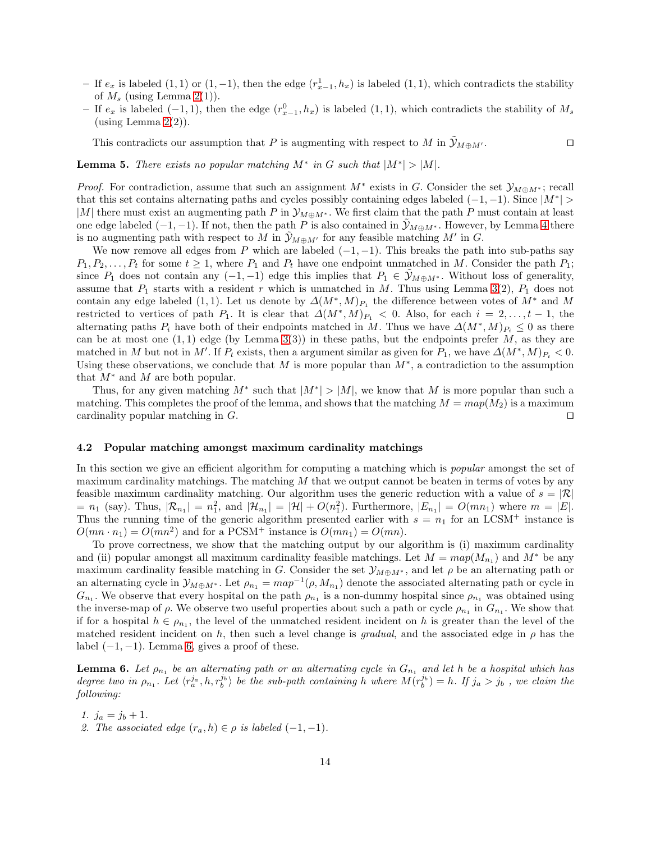- − If  $e_x$  is labeled (1, 1) or (1, −1), then the edge  $(r_{x-1}^1, h_x)$  is labeled (1, 1), which contradicts the stability of  $M_s$  (using Lemma [2\(](#page-9-1)1)).
- − If  $e_x$  is labeled (-1, 1), then the edge  $(r_{x-1}^0, h_x)$  is labeled (1, 1), which contradicts the stability of  $M_s$ (using Lemma  $2(2)$ ).

This contradicts our assumption that P is augmenting with respect to M in  $\tilde{y}_{M\oplus M'}$ . □

<span id="page-13-0"></span>**Lemma 5.** There exists no popular matching  $M^*$  in G such that  $|M^*| > |M|$ .

*Proof.* For contradiction, assume that such an assignment  $M^*$  exists in G. Consider the set  $\mathcal{Y}_{M\oplus M^*}$ ; recall that this set contains alternating paths and cycles possibly containing edges labeled  $(-1, -1)$ . Since  $|M^*|$ |M| there must exist an augmenting path P in  $\mathcal{Y}_{M\oplus M^*}$ . We first claim that the path P must contain at least one edge labeled  $(-1, -1)$ . If not, then the path P is also contained in  $\mathcal{Y}_{M\oplus M^*}$ . However, by Lemma [4](#page-12-0) there is no augmenting path with respect to M in  $\tilde{y}_{M \oplus M'}$  for any feasible matching M' in G.

We now remove all edges from P which are labeled  $(-1, -1)$ . This breaks the path into sub-paths say  $P_1, P_2, \ldots, P_t$  for some  $t \geq 1$ , where  $P_1$  and  $P_t$  have one endpoint unmatched in M. Consider the path  $P_1$ ; since  $P_1$  does not contain any  $(-1, -1)$  edge this implies that  $P_1 \in \mathcal{Y}_{M \oplus M^*}$ . Without loss of generality, assume that  $P_1$  starts with a resident r which is unmatched in M. Thus using Lemma [3\(](#page-10-2)2),  $P_1$  does not contain any edge labeled (1, 1). Let us denote by  $\Delta(M^*,M)_{P_1}$  the difference between votes of  $M^*$  and M restricted to vertices of path  $P_1$ . It is clear that  $\Delta(M^*,M)_{P_1} < 0$ . Also, for each  $i = 2,\ldots,t-1$ , the alternating paths  $P_i$  have both of their endpoints matched in M. Thus we have  $\Delta(M^*,M)_{P_i} \leq 0$  as there can be at most one  $(1,1)$  edge (by Lemma [3\(](#page-10-2)3)) in these paths, but the endpoints prefer M, as they are matched in M but not in M'. If  $P_t$  exists, then a argument similar as given for  $P_1$ , we have  $\Delta(M^*,M)_{P_t} < 0$ . Using these observations, we conclude that M is more popular than  $M^*$ , a contradiction to the assumption that  $M^*$  and M are both popular.

Thus, for any given matching  $M^*$  such that  $|M^*| > |M|$ , we know that M is more popular than such a matching. This completes the proof of the lemma, and shows that the matching  $M = map(M_2)$  is a maximum cardinality popular matching in  $G$ . □

### 4.2 Popular matching amongst maximum cardinality matchings

In this section we give an efficient algorithm for computing a matching which is *popular* amongst the set of maximum cardinality matchings. The matching  $M$  that we output cannot be beaten in terms of votes by any feasible maximum cardinality matching. Our algorithm uses the generic reduction with a value of  $s = |\mathcal{R}|$  $=n_1$  (say). Thus,  $|\mathcal{R}_{n_1}| = n_1^2$ , and  $|\mathcal{H}_{n_1}| = |\mathcal{H}| + O(n_1^2)$ . Furthermore,  $|E_{n_1}| = O(mn_1)$  where  $m = |E|$ . Thus the running time of the generic algorithm presented earlier with  $s = n_1$  for an LCSM<sup>+</sup> instance is  $O(mn \cdot n_1) = O(mn^2)$  and for a PCSM<sup>+</sup> instance is  $O(mn_1) = O(mn)$ .

To prove correctness, we show that the matching output by our algorithm is (i) maximum cardinality and (ii) popular amongst all maximum cardinality feasible matchings. Let  $M = map(M_{n_1})$  and  $M^*$  be any maximum cardinality feasible matching in G. Consider the set  $\mathcal{Y}_{M\oplus M^*}$ , and let  $\rho$  be an alternating path or an alternating cycle in  $\mathcal{Y}_{M\oplus M^*}$ . Let  $\rho_{n_1} = map^{-1}(\rho, M_{n_1})$  denote the associated alternating path or cycle in  $G_{n_1}$ . We observe that every hospital on the path  $\rho_{n_1}$  is a non-dummy hospital since  $\rho_{n_1}$  was obtained using the inverse-map of  $\rho$ . We observe two useful properties about such a path or cycle  $\rho_{n_1}$  in  $G_{n_1}$ . We show that if for a hospital  $h \in \rho_{n_1}$ , the level of the unmatched resident incident on h is greater than the level of the matched resident incident on h, then such a level change is gradual, and the associated edge in  $\rho$  has the label  $(-1, -1)$ . Lemma [6,](#page-13-1) gives a proof of these.

<span id="page-13-1"></span>**Lemma 6.** Let  $\rho_{n_1}$  be an alternating path or an alternating cycle in  $G_{n_1}$  and let h be a hospital which has degree two in  $\rho_{n_1}$ . Let  $\langle r_a^{j_a}, h, r_b^{j_b} \rangle$  be the sub-path containing h where  $\hat{M(r_b^{j_b})} = h$ . If  $j_a > j_b$ , we claim the following:

- 1.  $j_a = j_b + 1$ .
- 2. The associated edge  $(r_a, h) \in \rho$  is labeled  $(-1, -1)$ .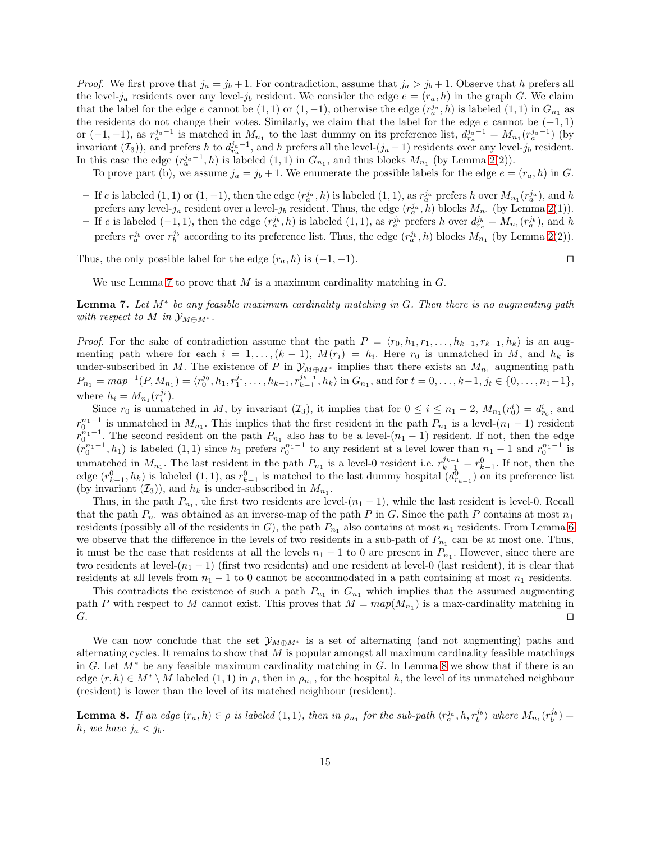*Proof.* We first prove that  $j_a = j_b + 1$ . For contradiction, assume that  $j_a > j_b + 1$ . Observe that h prefers all the level-j<sub>a</sub> residents over any level-j<sub>b</sub> resident. We consider the edge  $e = (r_a, h)$  in the graph G. We claim that the label for the edge e cannot be  $(1,1)$  or  $(1,-1)$ , otherwise the edge  $(r_a^{j_a}, h)$  is labeled  $(1,1)$  in  $G_{n_1}$  as the residents do not change their votes. Similarly, we claim that the label for the edge  $e$  cannot be  $(-1,1)$ or  $(-1,-1)$ , as  $r_a^{j_a-1}$  is matched in  $M_{n_1}$  to the last dummy on its preference list,  $d_{r_a}^{j_a-1} = M_{n_1}(r_a^{j_a-1})$  (by invariant  $(\mathcal{I}_3)$ , and prefers h to  $d_{r_a}^{j_a-1}$ , and h prefers all the level- $(j_a-1)$  residents over any level- $j_b$  resident. In this case the edge  $(r_a^{j_a-1}, h)$  is labeled  $(1, 1)$  in  $G_{n_1}$ , and thus blocks  $M_{n_1}$  (by Lemma [2\(](#page-9-1)2)).

To prove part (b), we assume  $j_a = j_b + 1$ . We enumerate the possible labels for the edge  $e = (r_a, h)$  in G.

- $-$  If e is labeled (1, 1) or (1, −1), then the edge  $(r_a^{j_a}, h)$  is labeled (1, 1), as  $r_a^{j_a}$  prefers h over  $M_{n_1}(r_a^{j_a})$ , and h prefers any level- $j_a$  resident over a level- $j_b$  resident. Thus, the edge  $(r_a^{j_a}, h)$  blocks  $M_{n_1}$  (by Lemma [2\(](#page-9-1)1)).
- If e is labeled  $(-1,1)$ , then the edge  $(r_a^{j_b}, h)$  is labeled  $(1, 1)$ , as  $r_a^{j_b}$  prefers h over  $d_{r_a}^{j_b} = M_{n_1}(r_a^{j_b})$ , and h prefers  $r_a^{j_b}$  over  $r_b^{j_b}$  according to its preference list. Thus, the edge  $(r_a^{j_b}, h)$  blocks  $M_{n_1}$  (by Lemma [2\(](#page-9-1)2)).

Thus, the only possible label for the edge  $(r_a, h)$  is  $(-1, -1)$ . □

<span id="page-14-0"></span>

We use Lemma [7](#page-14-0) to prove that  $M$  is a maximum cardinality matching in  $G$ .

**Lemma 7.** Let  $M^*$  be any feasible maximum cardinality matching in  $G$ . Then there is no augmenting path with respect to M in  $\mathcal{Y}_{M\oplus M^*}$ .

*Proof.* For the sake of contradiction assume that the path  $P = \langle r_0, h_1, r_1, \ldots, h_{k-1}, r_{k-1}, h_k \rangle$  is an augmenting path where for each  $i = 1, \ldots, (k-1)$ ,  $M(r_i) = h_i$ . Here  $r_0$  is unmatched in M, and  $h_k$  is under-subscribed in M. The existence of P in  $\mathcal{Y}_{M\oplus M^*}$  implies that there exists an  $M_{n_1}$  augmenting path  $P_{n_1} = map^{-1}(P, M_{n_1}) = \langle r_0^{j_0}, h_1, r_1^{j_1}, \dots, h_{k-1}, r_{k-1}^{j_{k-1}}, h_k \rangle$  in  $G_{n_1}$ , and for  $t = 0, \dots, k-1, j_t \in \{0, \dots, n_1-1\},$ where  $h_i = M_{n_1}(r_i^{j_i}).$ 

Since  $r_0$  is unmatched in M, by invariant  $(\mathcal{I}_3)$ , it implies that for  $0 \leq i \leq n_1 - 2$ ,  $M_{n_1}(r_0^i) = d_{r_0}^i$ , and  $r_0^{n_1-1}$  is unmatched in  $M_{n_1}$ . This implies that the first resident in the path  $P_{n_1}$  is a level- $(n_1-1)$  resident  $r_0^{n_1-1}$ . The second resident on the path  $P_{n_1}$  also has to be a level-(n<sub>1</sub> − 1) resident. If not, then the edge  $r_0^{n_1-1}$ .  $(r_0^{n_1-1}, h_1)$  is labeled  $(1, 1)$  since  $h_1$  prefers  $r_0^{n_1-1}$  to any resident at a level lower than  $n_1-1$  and  $r_0^{n_1-1}$  is unmatched in  $M_{n_1}$ . The last resident in the path  $P_{n_1}$  is a level-0 resident i.e.  $r_{k-1}^{j_{k-1}} = r_{k-1}^0$ . If not, then the edge  $(r_{k-1}^0, h_k)$  is labeled  $(1, 1)$ , as  $r_{k-1}^0$  is matched to the last dummy hospital  $(d_{r_{k-1}}^0)$  on its preference list (by invariant  $(\mathcal{I}_3)$ ), and  $h_k$  is under-subscribed in  $M_{n_1}$ .

Thus, in the path  $P_{n_1}$ , the first two residents are level- $(n_1 - 1)$ , while the last resident is level-0. Recall that the path  $P_{n_1}$  was obtained as an inverse-map of the path P in G. Since the path P contains at most  $n_1$ residents (possibly all of the residents in G), the path  $P_{n_1}$  also contains at most  $n_1$  residents. From Lemma [6](#page-13-1) we observe that the difference in the levels of two residents in a sub-path of  $P_{n_1}$  can be at most one. Thus, it must be the case that residents at all the levels  $n_1 - 1$  to 0 are present in  $P_{n_1}$ . However, since there are two residents at level- $(n_1 - 1)$  (first two residents) and one resident at level-0 (last resident), it is clear that residents at all levels from  $n_1 - 1$  to 0 cannot be accommodated in a path containing at most  $n_1$  residents.

This contradicts the existence of such a path  $P_{n_1}$  in  $G_{n_1}$  which implies that the assumed augmenting path P with respect to M cannot exist. This proves that  $M = map(M_{n_1})$  is a max-cardinality matching in  $G.$ 

We can now conclude that the set  $\mathcal{Y}_{M\oplus M*}$  is a set of alternating (and not augmenting) paths and alternating cycles. It remains to show that  $M$  is popular amongst all maximum cardinality feasible matchings in G. Let  $M^*$  be any feasible maximum cardinality matching in G. In Lemma [8](#page-14-1) we show that if there is an edge  $(r, h) \in M^* \setminus M$  labeled  $(1, 1)$  in  $\rho$ , then in  $\rho_{n_1}$ , for the hospital h, the level of its unmatched neighbour (resident) is lower than the level of its matched neighbour (resident).

<span id="page-14-1"></span>**Lemma 8.** If an edge  $(r_a, h) \in \rho$  is labeled  $(1, 1)$ , then in  $\rho_{n_1}$  for the sub-path  $\langle r_a^{j_a}, h, r_b^{j_b} \rangle$  where  $M_{n_1}(r_b^{j_b}) =$ h, we have  $j_a < j_b$ .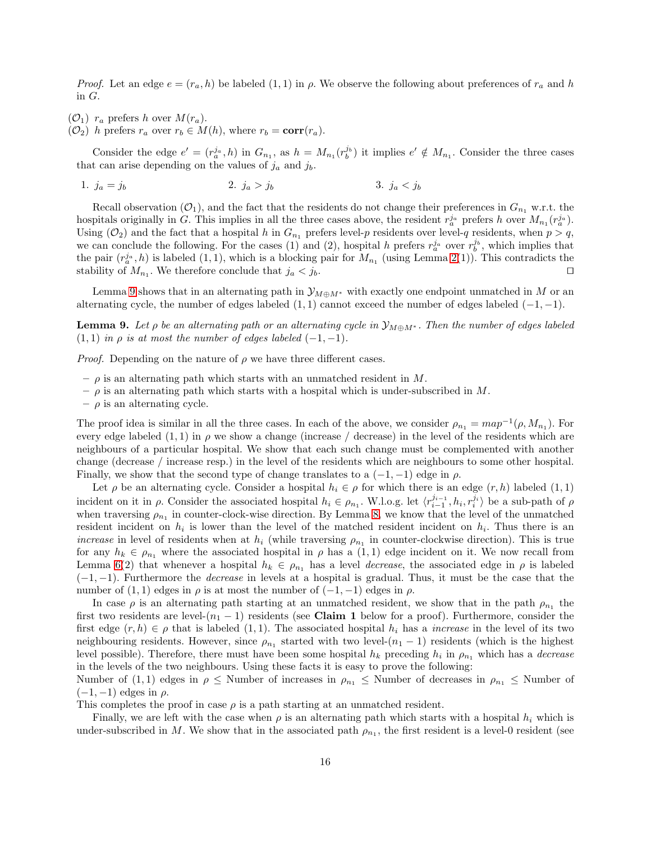*Proof.* Let an edge  $e = (r_a, h)$  be labeled  $(1, 1)$  in  $\rho$ . We observe the following about preferences of  $r_a$  and h in G.

 $(\mathcal{O}_1)$  r<sub>a</sub> prefers h over  $M(r_a)$ .

 $(\mathcal{O}_2)$  h prefers  $r_a$  over  $r_b \in M(h)$ , where  $r_b = \text{corr}(r_a)$ .

Consider the edge  $e' = (r_a^{j_a}, h)$  in  $G_{n_1}$ , as  $h = M_{n_1}(r_b^{j_b})$  it implies  $e' \notin M_{n_1}$ . Consider the three cases that can arise depending on the values of  $j_a$  and  $j_b$ .

1. 
$$
j_a = j_b
$$
 2.  $j_a > j_b$  3.  $j_a < j_b$ 

Recall observation ( $\mathcal{O}_1$ ), and the fact that the residents do not change their preferences in  $G_{n_1}$  w.r.t. the hospitals originally in G. This implies in all the three cases above, the resident  $r_a^{j_a}$  prefers h over  $M_{n_1}(r_a^{j_a})$ . Using ( $\mathcal{O}_2$ ) and the fact that a hospital h in  $G_{n_1}$  prefers level-p residents over level-q residents, when  $p > q$ , we can conclude the following. For the cases (1) and (2), hospital h prefers  $r_a^{j_a}$  over  $r_b^{j_b}$ , which implies that the pair  $(r_a^j, h)$  is labeled  $(1, 1)$ , which is a blocking pair for  $M_{n_1}$  (using Lemma [2\(](#page-9-1)1)). This contradicts the stability of  $M_{n_1}$ . We therefore conclude that  $j_a < j_b$ . □

<span id="page-15-0"></span>Lemma [9](#page-15-0) shows that in an alternating path in  $\mathcal{Y}_{M\oplus M^*}$  with exactly one endpoint unmatched in M or an alternating cycle, the number of edges labeled  $(1, 1)$  cannot exceed the number of edges labeled  $(-1, -1)$ .

**Lemma 9.** Let  $\rho$  be an alternating path or an alternating cycle in  $\mathcal{Y}_{M\oplus M^*}$ . Then the number of edges labeled  $(1, 1)$  in  $\rho$  is at most the number of edges labeled  $(-1, -1)$ .

*Proof.* Depending on the nature of  $\rho$  we have three different cases.

- $\rho$  is an alternating path which starts with an unmatched resident in M.
- $\rho$  is an alternating path which starts with a hospital which is under-subscribed in  $M$ .
- $\rho$  is an alternating cycle.

The proof idea is similar in all the three cases. In each of the above, we consider  $\rho_{n_1} = map^{-1}(\rho, M_{n_1})$ . For every edge labeled  $(1, 1)$  in  $\rho$  we show a change (increase / decrease) in the level of the residents which are neighbours of a particular hospital. We show that each such change must be complemented with another change (decrease / increase resp.) in the level of the residents which are neighbours to some other hospital. Finally, we show that the second type of change translates to a  $(-1, -1)$  edge in  $\rho$ .

Let  $\rho$  be an alternating cycle. Consider a hospital  $h_i \in \rho$  for which there is an edge  $(r, h)$  labeled  $(1, 1)$ incident on it in  $\rho$ . Consider the associated hospital  $h_i \in \rho_{n_1}$ . W.l.o.g. let  $\langle r_{i-1}^{j_{i-1}}, h_i, r_i^{j_i} \rangle$  be a sub-path of  $\rho$ when traversing  $\rho_{n_1}$  in counter-clock-wise direction. By Lemma [8,](#page-14-1) we know that the level of the unmatched resident incident on  $h_i$  is lower than the level of the matched resident incident on  $h_i$ . Thus there is an *increase* in level of residents when at  $h_i$  (while traversing  $\rho_{n_1}$  in counter-clockwise direction). This is true for any  $h_k \in \rho_{n_1}$  where the associated hospital in  $\rho$  has a (1, 1) edge incident on it. We now recall from Lemma [6\(](#page-13-1)2) that whenever a hospital  $h_k \in \rho_{n_1}$  has a level *decrease*, the associated edge in  $\rho$  is labeled  $(-1, -1)$ . Furthermore the *decrease* in levels at a hospital is gradual. Thus, it must be the case that the number of  $(1, 1)$  edges in  $\rho$  is at most the number of  $(-1, -1)$  edges in  $\rho$ .

In case  $\rho$  is an alternating path starting at an unmatched resident, we show that in the path  $\rho_{n_1}$  the first two residents are level- $(n_1 - 1)$  residents (see Claim 1 below for a proof). Furthermore, consider the first edge  $(r, h) \in \rho$  that is labeled  $(1, 1)$ . The associated hospital  $h_i$  has a *increase* in the level of its two neighbouring residents. However, since  $\rho_{n_1}$  started with two level- $(n_1 - 1)$  residents (which is the highest level possible). Therefore, there must have been some hospital  $h_k$  preceding  $h_i$  in  $\rho_{n_1}$  which has a *decrease* in the levels of the two neighbours. Using these facts it is easy to prove the following:

Number of (1, 1) edges in  $\rho \leq$  Number of increases in  $\rho_{n_1} \leq$  Number of decreases in  $\rho_{n_1} \leq$  Number of  $(-1, -1)$  edges in  $\rho$ .

This completes the proof in case  $\rho$  is a path starting at an unmatched resident.

Finally, we are left with the case when  $\rho$  is an alternating path which starts with a hospital  $h_i$  which is under-subscribed in M. We show that in the associated path  $\rho_{n_1}$ , the first resident is a level-0 resident (see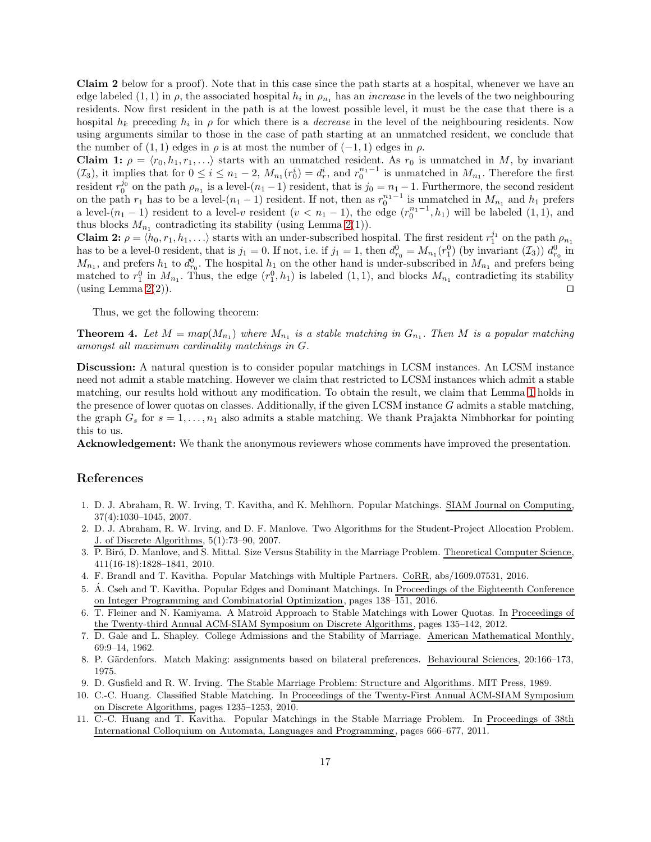Claim 2 below for a proof). Note that in this case since the path starts at a hospital, whenever we have an edge labeled  $(1,1)$  in  $\rho$ , the associated hospital  $h_i$  in  $\rho_{n_1}$  has an *increase* in the levels of the two neighbouring residents. Now first resident in the path is at the lowest possible level, it must be the case that there is a hospital  $h_k$  preceding  $h_i$  in  $\rho$  for which there is a *decrease* in the level of the neighbouring residents. Now using arguments similar to those in the case of path starting at an unmatched resident, we conclude that the number of  $(1, 1)$  edges in  $\rho$  is at most the number of  $(-1, 1)$  edges in  $\rho$ .

Claim 1:  $\rho = \langle r_0, h_1, r_1, \ldots \rangle$  starts with an unmatched resident. As  $r_0$  is unmatched in M, by invariant  $(\mathcal{I}_3)$ , it implies that for  $0 \leq i \leq n_1-2$ ,  $M_{n_1}(r_0^i) = d_r^i$ , and  $r_0^{n_1-1}$  is unmatched in  $M_{n_1}$ . Therefore the first resident  $r_0^{j_0}$  on the path  $\rho_{n_1}$  is a level- $(n_1 - 1)$  resident, that is  $j_0 = n_1 - 1$ . Furthermore, the second resident on the path  $r_1$  has to be a level- $(n_1 - 1)$  resident. If not, then as  $r_0^{n_1-1}$  is unmatched in  $M_{n_1}$  and  $h_1$  prefers a level- $(n_1 - 1)$  resident to a level-v resident  $(v < n_1 - 1)$ , the edge  $(r_0^{n_1-1}, h_1)$  will be labeled  $(1, 1)$ , and thus blocks  $M_{n_1}$  contradicting its stability (using Lemma [2\(](#page-9-1)1)).

**Claim 2:**  $\rho = \langle h_0, r_1, h_1, \ldots \rangle$  starts with an under-subscribed hospital. The first resident  $r_1^{j_1}$  on the path  $\rho_{n_1}$ has to be a level-0 resident, that is  $j_1 = 0$ . If not, i.e. if  $j_1 = 1$ , then  $d_{r_0}^0 = M_{n_1}(r_1^0)$  (by invariant  $(\mathcal{I}_3)$ )  $d_{r_0}^0$  in  $M_{n_1}$ , and prefers  $h_1$  to  $d_{r_0}^0$ . The hospital  $h_1$  on the other hand is under-subscribed in  $M_{n_1}$  and prefers being matched to  $r_1^0$  in  $M_{n_1}$ . Thus, the edge  $(r_1^0, h_1)$  is labeled  $(1, 1)$ , and blocks  $M_{n_1}$  contradicting its stability  $(\text{using Lemma } 2(2)).$  $(\text{using Lemma } 2(2)).$  $(\text{using Lemma } 2(2)).$ 

Thus, we get the following theorem:

**Theorem 4.** Let  $M = map(M_{n_1})$  where  $M_{n_1}$  is a stable matching in  $G_{n_1}$ . Then M is a popular matching amongst all maximum cardinality matchings in G.

Discussion: A natural question is to consider popular matchings in LCSM instances. An LCSM instance need not admit a stable matching. However we claim that restricted to LCSM instances which admit a stable matching, our results hold without any modification. To obtain the result, we claim that Lemma [1](#page-5-1) holds in the presence of lower quotas on classes. Additionally, if the given LCSM instance  $G$  admits a stable matching, the graph  $G_s$  for  $s = 1, \ldots, n_1$  also admits a stable matching. We thank Prajakta Nimbhorkar for pointing this to us.

Acknowledgement: We thank the anonymous reviewers whose comments have improved the presentation.

## References

- <span id="page-16-6"></span>1. D. J. Abraham, R. W. Irving, T. Kavitha, and K. Mehlhorn. Popular Matchings. SIAM Journal on Computing, 37(4):1030–1045, 2007.
- <span id="page-16-9"></span>2. D. J. Abraham, R. W. Irving, and D. F. Manlove. Two Algorithms for the Student-Project Allocation Problem. J. of Discrete Algorithms, 5(1):73–90, 2007.
- <span id="page-16-8"></span>3. P. Bir´o, D. Manlove, and S. Mittal. Size Versus Stability in the Marriage Problem. Theoretical Computer Science, 411(16-18):1828–1841, 2010.
- <span id="page-16-7"></span><span id="page-16-4"></span>4. F. Brandl and T. Kavitha. Popular Matchings with Multiple Partners. CoRR, abs/1609.07531, 2016.
- 5. Á. Cseh and T. Kavitha. Popular Edges and Dominant Matchings. In Proceedings of the Eighteenth Conference on Integer Programming and Combinatorial Optimization, pages 138–151, 2016.
- <span id="page-16-10"></span>6. T. Fleiner and N. Kamiyama. A Matroid Approach to Stable Matchings with Lower Quotas. In Proceedings of the Twenty-third Annual ACM-SIAM Symposium on Discrete Algorithms, pages 135–142, 2012.
- <span id="page-16-0"></span>7. D. Gale and L. Shapley. College Admissions and the Stability of Marriage. American Mathematical Monthly, 69:9–14, 1962.
- <span id="page-16-5"></span>8. P. Gärdenfors. Match Making: assignments based on bilateral preferences. Behavioural Sciences, 20:166–173, 1975.
- <span id="page-16-2"></span><span id="page-16-1"></span>9. D. Gusfield and R. W. Irving. The Stable Marriage Problem: Structure and Algorithms. MIT Press, 1989.
- 10. C.-C. Huang. Classified Stable Matching. In Proceedings of the Twenty-First Annual ACM-SIAM Symposium on Discrete Algorithms, pages 1235–1253, 2010.
- <span id="page-16-3"></span>11. C.-C. Huang and T. Kavitha. Popular Matchings in the Stable Marriage Problem. In Proceedings of 38th International Colloquium on Automata, Languages and Programming, pages 666–677, 2011.